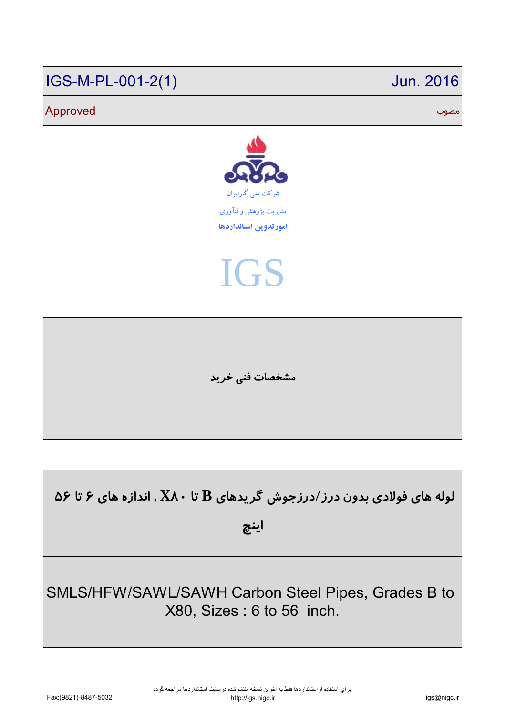# IGS-M-PL-001-2(1) Jun. 2016

# مصوب Approved



IGS

**مشخصات فني خريد**

**لوله هاي فولادي بدون درز/درزجوش گريدهاي B تا 80X , اندازه هاي 6 تا 56** 

**اينچ**

SMLS/HFW/SAWL/SAWH Carbon Steel Pipes, Grades B to X80, Sizes : 6 to 56 inch.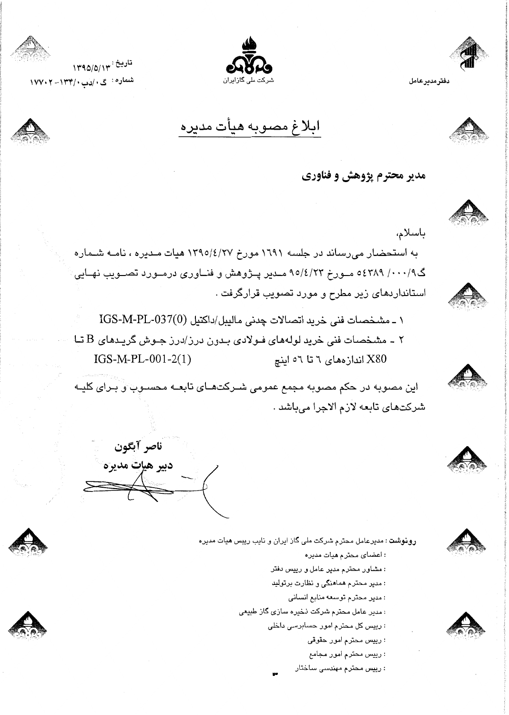

دفترمديرعامل



ابلاغ مصوبه هيأت مديره

تاريخ : ١٣٩٥/٥/١٣ شماره : گ ، /دب ۱۳۴/۰– ۱۷۷۰۲

ناصر آبگون

دبير هيإت مديره



باسلام،

به استحضار می رساند در جلسه ۱۲۹۱ مورخ ۱۳۹۵/٤/۲۷ هیات مـدیره ، نامـه شـماره گ۹/۰۰۰/ ۵٤۳۸۹ مــورخ ۹۵/٤/۲۳ مــدیر پــژوهش و فنــاوری درمــورد تصــویب نهــایی استانداردهای زیر مطرح و مورد تصویب قرارگرفت .







: رییس محترم مهندسی ساختار









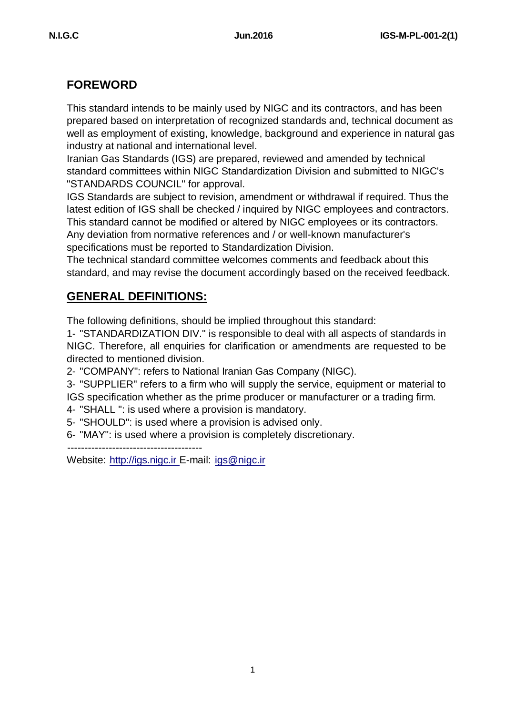# **FOREWORD**

This standard intends to be mainly used by NIGC and its contractors, and has been prepared based on interpretation of recognized standards and, technical document as well as employment of existing, knowledge, background and experience in natural gas industry at national and international level.

Iranian Gas Standards (IGS) are prepared, reviewed and amended by technical standard committees within NIGC Standardization Division and submitted to NIGC's "STANDARDS COUNCIL" for approval.

IGS Standards are subject to revision, amendment or withdrawal if required. Thus the latest edition of IGS shall be checked / inquired by NIGC employees and contractors. This standard cannot be modified or altered by NIGC employees or its contractors. Any deviation from normative references and / or well-known manufacturer's specifications must be reported to Standardization Division.

The technical standard committee welcomes comments and feedback about this standard, and may revise the document accordingly based on the received feedback.

# **GENERAL DEFINITIONS:**

The following definitions, should be implied throughout this standard:

1- "STANDARDIZATION DIV." is responsible to deal with all aspects of standards in NIGC. Therefore, all enquiries for clarification or amendments are requested to be directed to mentioned division.

2- "COMPANY": refers to National Iranian Gas Company (NIGC).

3- "SUPPLIER" refers to a firm who will supply the service, equipment or material to IGS specification whether as the prime producer or manufacturer or a trading firm.

- 4- "SHALL ": is used where a provision is mandatory.
- 5- "SHOULD": is used where a provision is advised only.
- 6- "MAY": is used where a provision is completely discretionary.

---------------------------------------

Website: <http://igs.nigc.ir> E-mail: jgs@nigc.ir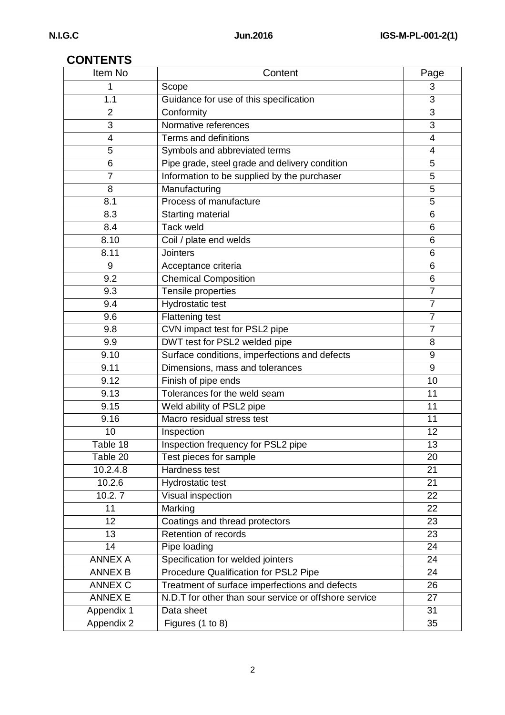# **CONTENTS**

| Item No        | Content                                               | Page            |
|----------------|-------------------------------------------------------|-----------------|
| 1              | Scope                                                 | 3               |
| 1.1            | Guidance for use of this specification                | 3               |
| $\overline{2}$ | Conformity                                            | $\overline{3}$  |
| 3              | Normative references                                  | 3               |
| $\overline{4}$ | Terms and definitions                                 | 4               |
| 5              | Symbols and abbreviated terms                         | 4               |
| 6              | Pipe grade, steel grade and delivery condition        | 5               |
| $\overline{7}$ | Information to be supplied by the purchaser           | 5               |
| 8              | Manufacturing                                         | 5               |
| 8.1            | Process of manufacture                                | 5               |
| 8.3            | Starting material                                     | 6               |
| 8.4            | <b>Tack weld</b>                                      | 6               |
| 8.10           | Coil / plate end welds                                | 6               |
| 8.11           | <b>Jointers</b>                                       | 6               |
| 9              | Acceptance criteria                                   | 6               |
| 9.2            | <b>Chemical Composition</b>                           | 6               |
| 9.3            | Tensile properties                                    | $\overline{7}$  |
| 9.4            | Hydrostatic test                                      | $\overline{7}$  |
| 9.6            | <b>Flattening test</b>                                | $\overline{7}$  |
| 9.8            | CVN impact test for PSL2 pipe                         | $\overline{7}$  |
| 9.9            | DWT test for PSL2 welded pipe                         | 8               |
| 9.10           | Surface conditions, imperfections and defects         | $9\,$           |
| 9.11           | Dimensions, mass and tolerances                       | 9               |
| 9.12           | Finish of pipe ends                                   | 10              |
| 9.13           | Tolerances for the weld seam                          | 11              |
| 9.15           | Weld ability of PSL2 pipe                             | 11              |
| 9.16           | Macro residual stress test                            | 11              |
| 10             | Inspection                                            | 12              |
| Table 18       | Inspection frequency for PSL2 pipe                    | 13              |
| Table 20       | Test pieces for sample                                | 20              |
| 10.2.4.8       | Hardness test                                         | 21              |
| 10.2.6         | <b>Hydrostatic test</b>                               | $\overline{21}$ |
| 10.2.7         | Visual inspection                                     | 22              |
| 11             | Marking                                               | 22              |
| 12             | Coatings and thread protectors                        | 23              |
| 13             | Retention of records                                  | 23              |
| 14             | Pipe loading                                          | 24              |
| <b>ANNEX A</b> | Specification for welded jointers                     | 24              |
| <b>ANNEX B</b> | Procedure Qualification for PSL2 Pipe                 | 24              |
| <b>ANNEX C</b> | Treatment of surface imperfections and defects        | 26              |
| <b>ANNEX E</b> | N.D.T for other than sour service or offshore service | 27              |
| Appendix 1     | Data sheet                                            | 31              |
| Appendix 2     | Figures (1 to 8)                                      | 35              |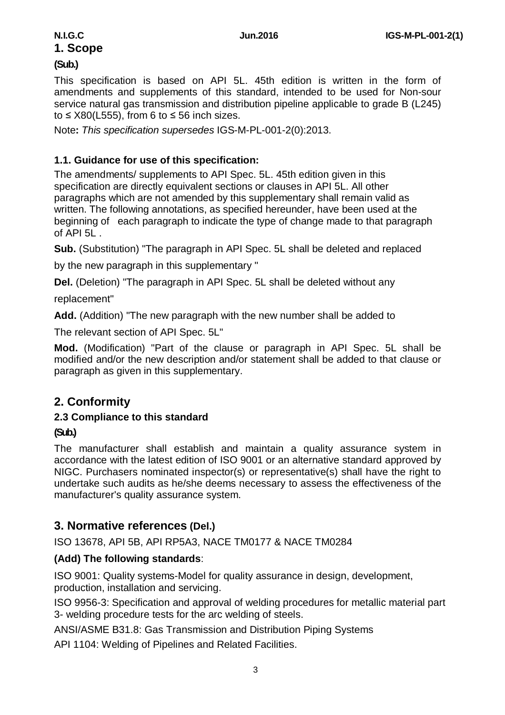# **1. Scope (Sub.)**

This specification is based on API 5L. 45th edition is written in the form of amendments and supplements of this standard, intended to be used for Non-sour service natural gas transmission and distribution pipeline applicable to grade B (L245) to ≤ X80(L555), from 6 to ≤ 56 inch sizes.

Note**:** *This specification supersedes* IGS-M-PL-001-2(0):2013.

### **1.1. Guidance for use of this specification:**

The amendments/ supplements to API Spec. 5L. 45th edition given in this specification are directly equivalent sections or clauses in API 5L. All other paragraphs which are not amended by this supplementary shall remain valid as written. The following annotations, as specified hereunder, have been used at the beginning of each paragraph to indicate the type of change made to that paragraph of API 5L .

**Sub.** (Substitution) "The paragraph in API Spec. 5L shall be deleted and replaced

by the new paragraph in this supplementary "

**Del.** (Deletion) "The paragraph in API Spec. 5L shall be deleted without any

replacement"

**Add.** (Addition) "The new paragraph with the new number shall be added to

The relevant section of API Spec. 5L"

**Mod.** (Modification) "Part of the clause or paragraph in API Spec. 5L shall be modified and/or the new description and/or statement shall be added to that clause or paragraph as given in this supplementary.

# **2. Conformity**

#### **2.3 Compliance to this standard**

#### **(Sub.)**

The manufacturer shall establish and maintain a quality assurance system in accordance with the latest edition of ISO 9001 or an alternative standard approved by NIGC. Purchasers nominated inspector(s) or representative(s) shall have the right to undertake such audits as he/she deems necessary to assess the effectiveness of the manufacturer's quality assurance system.

# **3. Normative references (Del.)**

ISO 13678, API 5B, API RP5A3, NACE TM0177 & NACE TM0284

# **(Add) The following standards**:

ISO 9001: Quality systems-Model for quality assurance in design, development, production, installation and servicing.

ISO 9956-3: Specification and approval of welding procedures for metallic material part 3- welding procedure tests for the arc welding of steels.

ANSI/ASME B31.8: Gas Transmission and Distribution Piping Systems

API 1104: Welding of Pipelines and Related Facilities.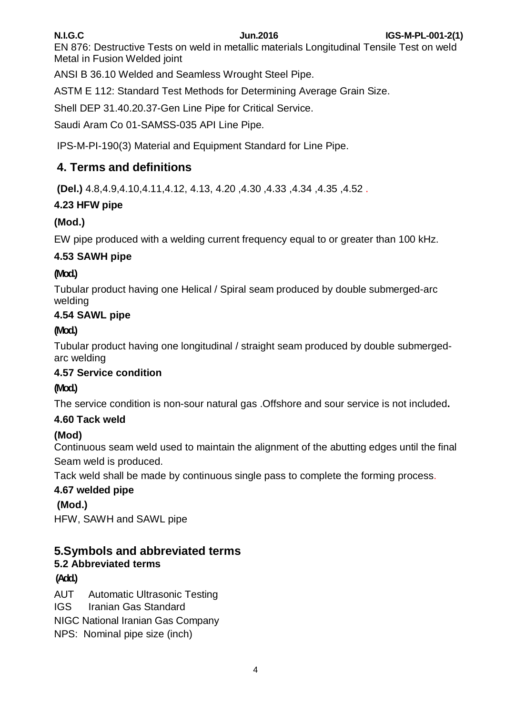EN 876: Destructive Tests on weld in metallic materials Longitudinal Tensile Test on weld Metal in Fusion Welded joint

ANSI B 36.10 Welded and Seamless Wrought Steel Pipe.

ASTM E 112: Standard Test Methods for Determining Average Grain Size.

Shell DEP 31.40.20.37-Gen Line Pipe for Critical Service.

Saudi Aram Co 01-SAMSS-035 API Line Pipe.

IPS-M-PI-190(3) Material and Equipment Standard for Line Pipe.

# **4. Terms and definitions**

**(Del.)** 4.8,4.9,4.10,4.11,4.12, 4.13, 4.20 ,4.30 ,4.33 ,4.34 ,4.35 ,4.52 .

# **4.23 HFW pipe**

# **(Mod.)**

EW pipe produced with a welding current frequency equal to or greater than 100 kHz.

# **4.53 SAWH pipe**

### **(Mod.)**

Tubular product having one Helical / Spiral seam produced by double submerged-arc welding

# **4.54 SAWL pipe**

### **(Mod.)**

Tubular product having one longitudinal / straight seam produced by double submergedarc welding

#### **4.57 Service condition**

# **(Mod.)**

The service condition is non-sour natural gas .Offshore and sour service is not included**.** 

# **4.60 Tack weld**

# **(Mod)**

Continuous seam weld used to maintain the alignment of the abutting edges until the final Seam weld is produced.

Tack weld shall be made by continuous single pass to complete the forming process.

# **4.67 welded pipe**

# **(Mod.)**

HFW, SAWH and SAWL pipe

# **5.Symbols and abbreviated terms**

# **5.2 Abbreviated terms**

# **(Add.)**

AUT Automatic Ultrasonic Testing

IGS Iranian Gas Standard

NIGC National Iranian Gas Company

NPS: Nominal pipe size (inch)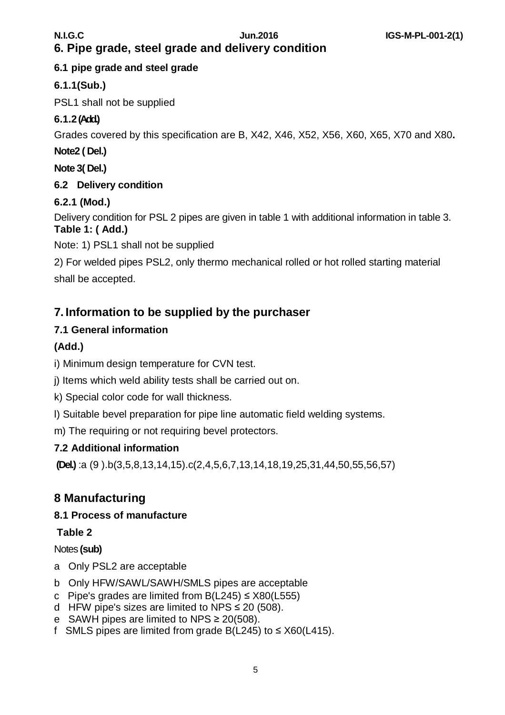# **6. Pipe grade, steel grade and delivery condition**

# **6.1 pipe grade and steel grade**

# **6.1.1(Sub.)**

PSL1 shall not be supplied

# **6.1.2(Add.)**

Grades covered by this specification are B, X42, X46, X52, X56, X60, X65, X70 and X80**.**

**Note2 ( Del.)** 

**Note 3( Del.)**

# **6.2 Delivery condition**

# **6.2.1 (Mod.)**

Delivery condition for PSL 2 pipes are given in table 1 with additional information in table 3. **Table 1: ( Add.)**

Note: 1) PSL1 shall not be supplied

2) For welded pipes PSL2, only thermo mechanical rolled or hot rolled starting material shall be accepted.

# **7. Information to be supplied by the purchaser**

# **7.1 General information**

# **(Add.)**

i) Minimum design temperature for CVN test.

j) Items which weld ability tests shall be carried out on.

k) Special color code for wall thickness.

l) Suitable bevel preparation for pipe line automatic field welding systems.

m) The requiring or not requiring bevel protectors.

# **7.2 Additional information**

**(Del.)** :a (9 ).b(3,5,8,13,14,15).c(2,4,5,6,7,13,14,18,19,25,31,44,50,55,56,57)

# **8 Manufacturing**

# **8.1 Process of manufacture**

**Table 2**

# Notes **(sub)**

- a Only PSL2 are acceptable
- b Only HFW/SAWL/SAWH/SMLS pipes are acceptable
- c Pipe's grades are limited from  $B(L245) \leq X80(L555)$
- d HFW pipe's sizes are limited to NPS  $\leq$  20 (508).
- e SAWH pipes are limited to NPS ≥ 20(508).
- f SMLS pipes are limited from grade B(L245) to  $\leq$  X60(L415).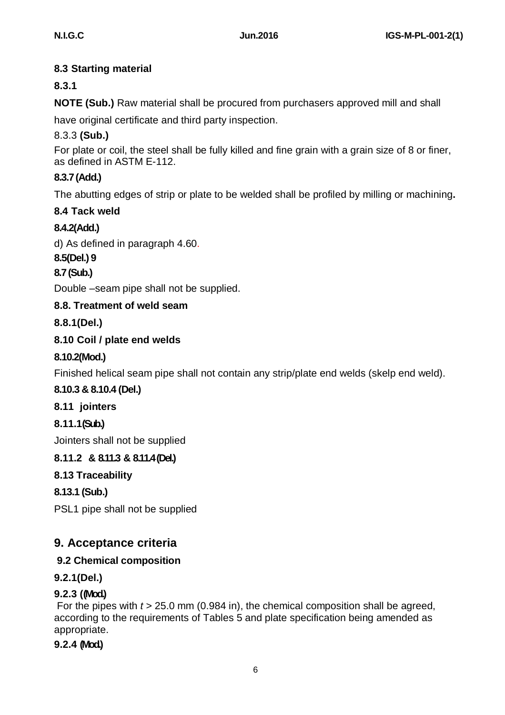# **8.3 Starting material**

# **8.3.1**

**NOTE (Sub.)** Raw material shall be procured from purchasers approved mill and shall

have original certificate and third party inspection.

# 8.3.3 **(Sub.)**

For plate or coil, the steel shall be fully killed and fine grain with a grain size of 8 or finer, as defined in ASTM E-112.

# **8.3.7(Add.)**

The abutting edges of strip or plate to be welded shall be profiled by milling or machining**.**

# **8.4 Tack weld**

# **8.4.2(Add.)**

d) As defined in paragraph 4.60.

### **8.5(Del.) 9**

# **8.7(Sub.)**

Double –seam pipe shall not be supplied.

# **8.8. Treatment of weld seam**

# **8.8.1(Del.)**

# **8.10 Coil / plate end welds**

# **8.10.2(Mod.)**

Finished helical seam pipe shall not contain any strip/plate end welds (skelp end weld).

# **8.10.3 & 8.10.4 (Del.)**

**8.11 jointers**

# **8.11.1(Sub.)**

Jointers shall not be supplied

# **8.11.2 & 8.11.3 & 8.11.4(Del.)**

# **8.13 Traceability**

# **8.13.1 (Sub.)**

PSL1 pipe shall not be supplied

# **9. Acceptance criteria**

# **9.2 Chemical composition**

# **9.2.1(Del.)**

# **9.2.3 ((Mod.)**

For the pipes with *t* > 25.0 mm (0.984 in), the chemical composition shall be agreed, according to the requirements of Tables 5 and plate specification being amended as appropriate.

# **9.2.4 (Mod.)**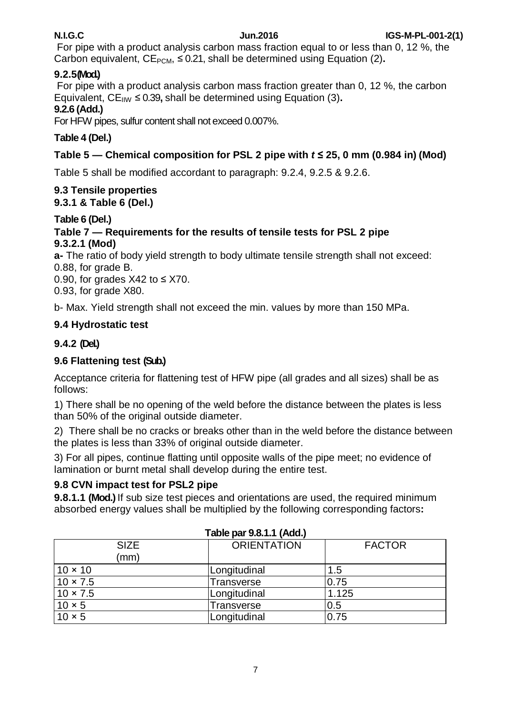For pipe with a product analysis carbon mass fraction equal to or less than 0, 12 %, the Carbon equivalent,  $CE_{PCM} \leq 0.21$ , shall be determined using Equation (2).

# **9.2.5(Mod.)**

For pipe with a product analysis carbon mass fraction greater than 0, 12 %, the carbon Equivalent,  $CE_{\text{IW}} \leq 0.39$ , shall be determined using Equation (3).

#### **9.2.6 (Add.)**

For HFW pipes, sulfur content shall not exceed 0.007%.

# **Table 4 (Del.)**

# **Table**  $5 -$  **Chemical composition for PSL** 2 pipe with  $t \le 25$ , 0 mm (0.984 in) (Mod)

Table 5 shall be modified accordant to paragraph: 9.2.4, 9.2.5 & 9.2.6.

#### **9.3 Tensile properties 9.3.1 & Table 6 (Del.)**

# **Table 6 (Del.)**

## **Table 7 — Requirements for the results of tensile tests for PSL 2 pipe 9.3.2.1 (Mod)**

**a-** The ratio of body yield strength to body ultimate tensile strength shall not exceed:

0.88, for grade B.

0.90, for grades  $X42$  to  $\leq$  X70.

0.93, for grade X80.

b- Max. Yield strength shall not exceed the min. values by more than 150 MPa.

# **9.4 Hydrostatic test**

# **9.4.2 (Del.)**

# **9.6 Flattening test (Sub.)**

Acceptance criteria for flattening test of HFW pipe (all grades and all sizes) shall be as follows:

1) There shall be no opening of the weld before the distance between the plates is less than 50% of the original outside diameter.

2) There shall be no cracks or breaks other than in the weld before the distance between the plates is less than 33% of original outside diameter.

3) For all pipes, continue flatting until opposite walls of the pipe meet; no evidence of lamination or burnt metal shall develop during the entire test.

# **9.8 CVN impact test for PSL2 pipe**

**9.8.1.1 (Mod.)** If sub size test pieces and orientations are used, the required minimum absorbed energy values shall be multiplied by the following corresponding factors**:**

| <b>I AVIC PAI J.V.I.I (AVU.)</b> |                    |               |  |  |  |  |  |  |
|----------------------------------|--------------------|---------------|--|--|--|--|--|--|
| <b>SIZE</b>                      | <b>ORIENTATION</b> | <b>FACTOR</b> |  |  |  |  |  |  |
| (mm)                             |                    |               |  |  |  |  |  |  |
| $10 \times 10$                   | Longitudinal       | 1.5           |  |  |  |  |  |  |
| $10 \times 7.5$                  | <b>Transverse</b>  | 0.75          |  |  |  |  |  |  |
| $10 \times 7.5$                  | Longitudinal       | 1.125         |  |  |  |  |  |  |
| $10 \times 5$                    | Transverse         | 0.5           |  |  |  |  |  |  |
| $10 \times 5$                    | Longitudinal       | 0.75          |  |  |  |  |  |  |

# **Table par 9.8.1.1 (Add.)**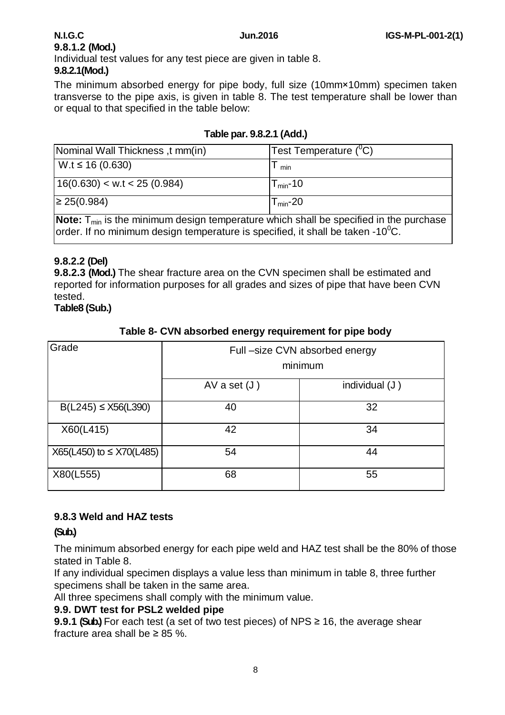# **9.8.1.2 (Mod.)**

Individual test values for any test piece are given in table 8.

#### **9.8.2.1(Mod.)**

The minimum absorbed energy for pipe body, full size (10mm×10mm) specimen taken transverse to the pipe axis, is given in table 8. The test temperature shall be lower than or equal to that specified in the table below:

| (INominal Wall Thickness, t mm(in)                                                                | Test Temperature (C) |
|---------------------------------------------------------------------------------------------------|----------------------|
| $W.t \le 16 (0.630)$                                                                              | min                  |
| 16(0.630) < w.t < 25(0.984)                                                                       | $T_{min}$ -10        |
| $\geq$ 25(0.984)                                                                                  | $T_{min}$ -20        |
| <b>Note:</b> $T_{min}$ is the minimum design temperature which shall be specified in the purchase |                      |

#### **Table par. 9.8.2.1 (Add.)**

**Note:** T<sub>min</sub> is the minimum design temperature which shall be specified in the purchase order. If no minimum design temperature is specified, it shall be taken -10<sup>0</sup>C.

### **9.8.2.2 (Del)**

**9.8.2.3 (Mod.)** The shear fracture area on the CVN specimen shall be estimated and reported for information purposes for all grades and sizes of pipe that have been CVN tested.

**Table8 (Sub.)** 

#### **Table 8- CVN absorbed energy requirement for pipe body**

| Grade                           |                | Full-size CVN absorbed energy<br>minimum |
|---------------------------------|----------------|------------------------------------------|
|                                 |                |                                          |
|                                 | AV a set $(J)$ | individual (J)                           |
| $B(L245) \leq X56(L390)$        | 40             | 32                                       |
| X60(L415)                       | 42             | 34                                       |
| $X65(L450)$ to $\leq$ X70(L485) | 54             | 44                                       |
| X80(L555)                       | 68             | 55                                       |

#### **9.8.3 Weld and HAZ tests**

# **(Sub.)**

The minimum absorbed energy for each pipe weld and HAZ test shall be the 80% of those stated in Table 8.

If any individual specimen displays a value less than minimum in table 8, three further specimens shall be taken in the same area.

All three specimens shall comply with the minimum value.

#### **9.9. DWT test for PSL2 welded pipe**

**9.9.1 <b>(Sub.)** For each test (a set of two test pieces) of NPS ≥ 16, the average shear fracture area shall be  $\geq 85$  %.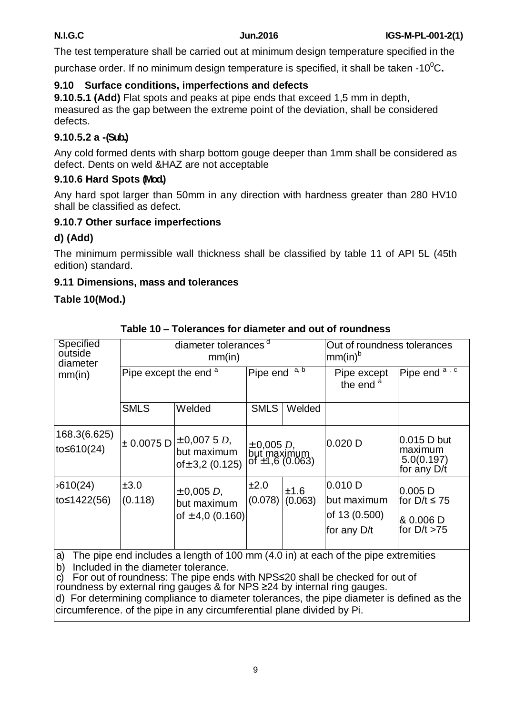The test temperature shall be carried out at minimum design temperature specified in the

purchase order. If no minimum design temperature is specified, it shall be taken -10<sup>0</sup>C.

# **9.10 Surface conditions, imperfections and defects**

**9.10.5.1 (Add)** Flat spots and peaks at pipe ends that exceed 1,5 mm in depth, measured as the gap between the extreme point of the deviation, shall be considered defects.

# **9.10.5.2 a -(Sub.)**

Any cold formed dents with sharp bottom gouge deeper than 1mm shall be considered as defect. Dents on weld &HAZ are not acceptable

# **9.10.6 Hard Spots (Mod.)**

Any hard spot larger than 50mm in any direction with hardness greater than 280 HV10 shall be classified as defect.

# **9.10.7 Other surface imperfections**

# **d) (Add)**

The minimum permissible wall thickness shall be classified by table 11 of API 5L (45th edition) standard.

# **9.11 Dimensions, mass and tolerances**

# **Table 10(Mod.)**

| <b>Specified</b><br>outside<br>diameter |                                  | diameter tolerances <sup>d</sup><br>mm(in)              | Out of roundness tolerances<br>$mm(in)^b$              |                                     |                                                          |                                                                |
|-----------------------------------------|----------------------------------|---------------------------------------------------------|--------------------------------------------------------|-------------------------------------|----------------------------------------------------------|----------------------------------------------------------------|
| mm(in)                                  | Pipe except the end <sup>a</sup> | Pipe end a, b                                           |                                                        | Pipe except<br>the end <sup>a</sup> | Pipe end $\overline{a}$ , $\overline{c}$                 |                                                                |
|                                         | <b>SMLS</b>                      | Welded                                                  | <b>SMLS</b>                                            | Welded                              |                                                          |                                                                |
| 168.3(6.625)<br>to≤610(24)              | ± 0.0075 D                       | $\pm$ 0,007 5 D,<br>but maximum<br>of $\pm$ 3,2 (0.125) | ± 0,005 <i>D</i> ,<br> but maximum<br> of ±1,6 (0.063) |                                     | $0.020$ D                                                | 0.015 D but<br>maximum<br>5.0(0.197)<br>for any D/t            |
| 0.610(24)<br>to≤1422(56)                | ±3.0<br>(0.118)                  | $\pm$ 0,005 D,<br>but maximum<br>of $\pm$ 4,0 (0.160)   | ±2.0<br>(0.078)                                        | ±1.6<br>(0.063)                     | $0.010$ D<br>but maximum<br>of 13 (0.500)<br>for any D/t | $ 0.005 $ D<br>for $D/t \le 75$<br>8 0.006 D<br>for $D/t > 75$ |

**Table 10 – Tolerances for diameter and out of roundness**

a) The pipe end includes a length of 100 mm (4.0 in) at each of the pipe extremities b) Included in the diameter tolerance.

c) For out of roundness: The pipe ends with NPS≤20 shall be checked for out of

roundness by external ring gauges & for NPS  $\geq$ 24 by internal ring gauges.

d) For determining compliance to diameter tolerances, the pipe diameter is defined as the circumference. of the pipe in any circumferential plane divided by Pi.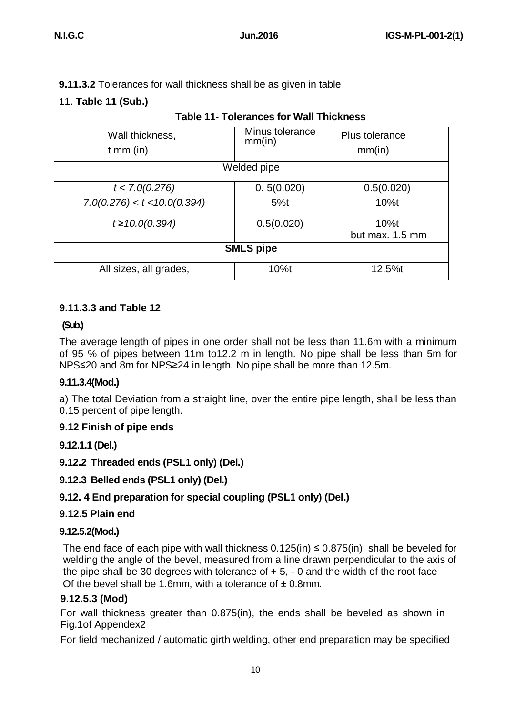# **9.11.3.2** Tolerances for wall thickness shall be as given in table

# 11. **Table 11 (Sub.)**

| Wall thickness,<br>$t$ mm (in) | Minus tolerance<br>mm(in) | Plus tolerance<br>mm(in) |  |  |  |  |  |  |
|--------------------------------|---------------------------|--------------------------|--|--|--|--|--|--|
| Welded pipe                    |                           |                          |  |  |  |  |  |  |
| t < 7.0(0.276)                 | 0.5(0.020)                | 0.5(0.020)               |  |  |  |  |  |  |
| 7.0(0.276) < t < 10.0(0.394)   | 5%t                       | $10%$ t                  |  |  |  |  |  |  |
| $t \ge 10.0(0.394)$            | 0.5(0.020)                | 10%t<br>but max. 1.5 mm  |  |  |  |  |  |  |
| <b>SMLS pipe</b>               |                           |                          |  |  |  |  |  |  |
| All sizes, all grades,         | 10%t                      | 12.5%t                   |  |  |  |  |  |  |

# **Table 11- Tolerances for Wall Thickness**

### **9.11.3.3 and Table 12**

# **(Sub.)**

The average length of pipes in one order shall not be less than 11.6m with a minimum of 95 % of pipes between 11m to12.2 m in length. No pipe shall be less than 5m for NPS≤20 and 8m for NPS≥24 in length. No pipe shall be more than 12.5m.

# **9.11.3.4(Mod.)**

a) The total Deviation from a straight line, over the entire pipe length, shall be less than 0.15 percent of pipe length.

# **9.12 Finish of pipe ends**

#### **9.12.1.1 (Del.)**

# **9.12.2 Threaded ends (PSL1 only) (Del.)**

#### **9.12.3 Belled ends (PSL1 only) (Del.)**

# **9.12. 4 End preparation for special coupling (PSL1 only) (Del.)**

#### **9.12.5 Plain end**

#### **9.12.5.2(Mod.)**

The end face of each pipe with wall thickness  $0.125(in) \le 0.875(in)$ , shall be beveled for welding the angle of the bevel, measured from a line drawn perpendicular to the axis of the pipe shall be 30 degrees with tolerance of  $+5$ ,  $-0$  and the width of the root face Of the bevel shall be 1.6mm, with a tolerance of  $\pm$  0.8mm.

#### **9.12.5.3 (Mod)**

For wall thickness greater than 0.875(in), the ends shall be beveled as shown in Fig.1of Appendex2

For field mechanized / automatic girth welding, other end preparation may be specified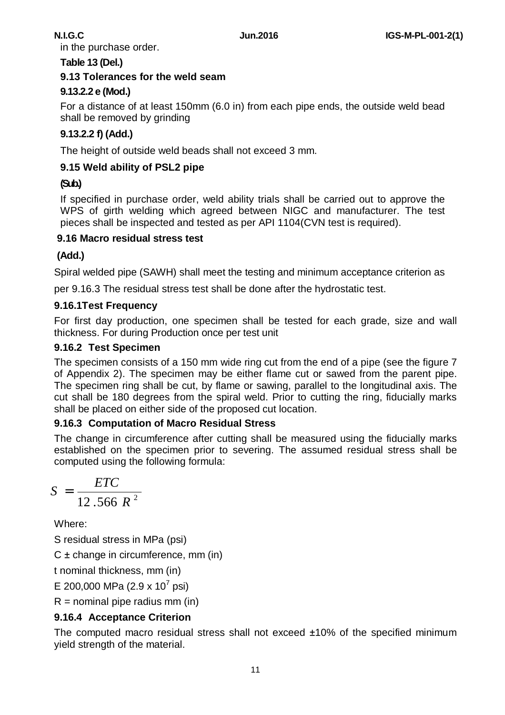in the purchase order.

#### **Table 13 (Del.)**

#### **9.13 Tolerances for the weld seam**

## **9.13.2.2 e (Mod.)**

For a distance of at least 150mm (6.0 in) from each pipe ends, the outside weld bead shall be removed by grinding

# **9.13.2.2 f) (Add.)**

The height of outside weld beads shall not exceed 3 mm.

#### **9.15 Weld ability of PSL2 pipe**

# **(Sub.)**

If specified in purchase order, weld ability trials shall be carried out to approve the WPS of girth welding which agreed between NIGC and manufacturer. The test pieces shall be inspected and tested as per API 1104(CVN test is required).

#### **9.16 Macro residual stress test**

### **(Add.)**

Spiral welded pipe (SAWH) shall meet the testing and minimum acceptance criterion as

per 9.16.3 The residual stress test shall be done after the hydrostatic test.

#### **9.16.1Test Frequency**

For first day production, one specimen shall be tested for each grade, size and wall thickness. For during Production once per test unit

#### **9.16.2 Test Specimen**

The specimen consists of a 150 mm wide ring cut from the end of a pipe (see the figure 7 of Appendix 2). The specimen may be either flame cut or sawed from the parent pipe. The specimen ring shall be cut, by flame or sawing, parallel to the longitudinal axis. The cut shall be 180 degrees from the spiral weld. Prior to cutting the ring, fiducially marks shall be placed on either side of the proposed cut location.

#### **9.16.3 Computation of Macro Residual Stress**

The change in circumference after cutting shall be measured using the fiducially marks established on the specimen prior to severing. The assumed residual stress shall be computed using the following formula:

$$
S = \frac{ETC}{12.566 R^2}
$$

Where:

S residual stress in MPa (psi)

C ± change in circumference, mm (in)

t nominal thickness, mm (in)

E 200,000 MPa (2.9 x 10<sup>7</sup> psi)

 $R =$  nominal pipe radius mm (in)

# **9.16.4 Acceptance Criterion**

The computed macro residual stress shall not exceed ±10% of the specified minimum yield strength of the material.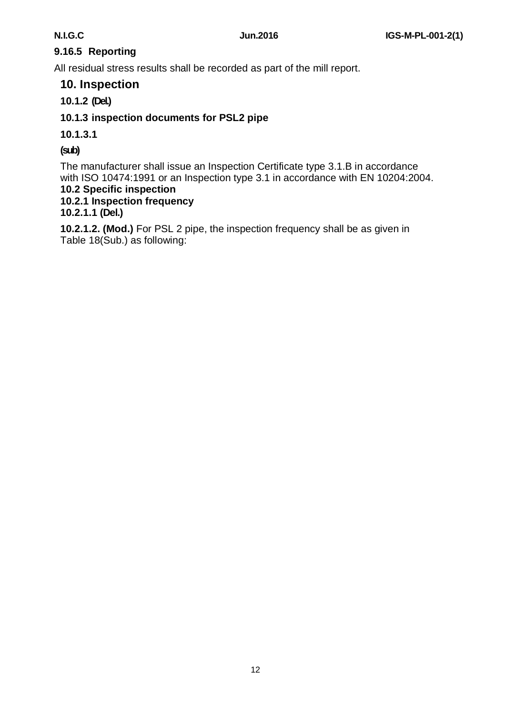# **9.16.5 Reporting**

All residual stress results shall be recorded as part of the mill report.

### **10. Inspection**

### **10.1.2 (Del.)**

### **10.1.3 inspection documents for PSL2 pipe**

#### **10.1.3.1**

#### **(sub)**

The manufacturer shall issue an Inspection Certificate type 3.1.B in accordance with ISO 10474:1991 or an Inspection type 3.1 in accordance with EN 10204:2004.

# **10.2 Specific inspection**

**10.2.1 Inspection frequency** 

#### **10.2.1.1 (Del.)**

**10.2.1.2. (Mod.)** For PSL 2 pipe, the inspection frequency shall be as given in Table 18(Sub.) as following: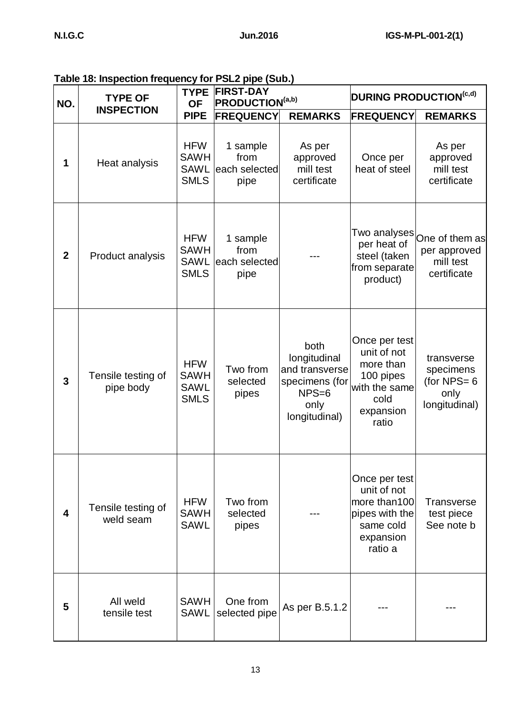| Table 18: Inspection frequency for PSL2 pipe (Sub.) |  |  |
|-----------------------------------------------------|--|--|
|-----------------------------------------------------|--|--|

| NO.                     | <b>TYPE OF</b><br><b>INSPECTION</b> | <b>TYPE</b><br><b>OF</b>                                | <b>FIRST-DAY</b><br><b>PRODUCTION</b> <sup>(a,b)</sup> |                                                                                              | <b>DURING PRODUCTION(C,d)</b>                                                                         |                                                                         |
|-------------------------|-------------------------------------|---------------------------------------------------------|--------------------------------------------------------|----------------------------------------------------------------------------------------------|-------------------------------------------------------------------------------------------------------|-------------------------------------------------------------------------|
|                         |                                     | <b>PIPE</b>                                             | <b>FREQUENCY</b>                                       | <b>REMARKS</b>                                                                               | <b>FREQUENCY</b>                                                                                      | <b>REMARKS</b>                                                          |
| 1                       | Heat analysis                       | <b>HFW</b><br><b>SAWH</b><br><b>SAWL</b><br><b>SMLS</b> | 1 sample<br>from<br>each selected<br>pipe              | As per<br>approved<br>mill test<br>certificate                                               | Once per<br>heat of steel                                                                             | As per<br>approved<br>mill test<br>certificate                          |
| $\overline{2}$          | Product analysis                    | <b>HFW</b><br><b>SAWH</b><br><b>SAWL</b><br><b>SMLS</b> | 1 sample<br>from<br>each selected<br>pipe              |                                                                                              | per heat of<br>steel (taken<br>from separate<br>product)                                              | Two analyses One of them as<br>per approved<br>mill test<br>certificate |
| 3                       | Tensile testing of<br>pipe body     | <b>HFW</b><br><b>SAWH</b><br><b>SAWL</b><br><b>SMLS</b> | Two from<br>selected<br>pipes                          | both<br>longitudinal<br>and transverse<br>specimens (for<br>$NPS=6$<br>only<br>longitudinal) | Once per test<br>unit of not<br>more than<br>100 pipes<br>with the same<br>cold<br>expansion<br>ratio | transverse<br>specimens<br>(for NPS= $6$<br>only<br>longitudinal)       |
| $\overline{\mathbf{4}}$ | Tensile testing of<br>weld seam     | <b>HFW</b><br><b>SAWH</b><br><b>SAWL</b>                | Two from<br>selected<br>pipes                          |                                                                                              | Once per test<br>unit of not<br>more than100<br>pipes with the<br>same cold<br>expansion<br>ratio a   | <b>Transverse</b><br>test piece<br>See note b                           |
| 5                       | All weld<br>tensile test            | <b>SAWH</b><br><b>SAWL</b>                              | One from<br>selected pipe                              | As per B.5.1.2                                                                               |                                                                                                       |                                                                         |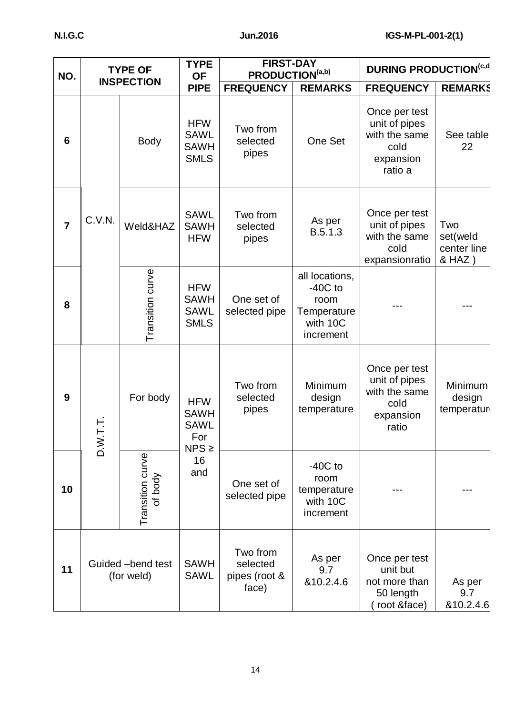| NO.            | <b>TYPE OF</b><br><b>INSPECTION</b> |                                 | <b>TYPE</b><br><b>OF</b>                                      | <b>FIRST-DAY</b><br>PRODUCTION(a,b)            |                                                                             | <b>DURING PRODUCTION(c,d)</b>                                                   |                                          |
|----------------|-------------------------------------|---------------------------------|---------------------------------------------------------------|------------------------------------------------|-----------------------------------------------------------------------------|---------------------------------------------------------------------------------|------------------------------------------|
|                |                                     |                                 | <b>PIPE</b>                                                   | <b>FREQUENCY</b>                               | <b>REMARKS</b>                                                              | <b>FREQUENCY</b>                                                                | <b>REMARKS</b>                           |
| 6              |                                     | <b>Body</b>                     | <b>HFW</b><br><b>SAWL</b><br><b>SAWH</b><br><b>SMLS</b>       | Two from<br>selected<br>pipes                  | One Set                                                                     | Once per test<br>unit of pipes<br>with the same<br>cold<br>expansion<br>ratio a | See table<br>22                          |
| $\overline{7}$ | C.V.N.                              | Weld&HAZ                        | <b>SAWL</b><br><b>SAWH</b><br><b>HFW</b>                      | Two from<br>selected<br>pipes                  | As per<br>B.5.1.3                                                           | Once per test<br>unit of pipes<br>with the same<br>cold<br>expansionratio       | Two<br>set(weld<br>center line<br>& HAZ) |
| 8              |                                     | Transition curve                | <b>HFW</b><br><b>SAWH</b><br><b>SAWL</b><br><b>SMLS</b>       | One set of<br>selected pipe                    | all locations,<br>$-40C$ to<br>room<br>Temperature<br>with 10C<br>increment |                                                                                 |                                          |
| 9              | 一<br>一<br>$\geq$                    | For body                        | <b>HFW</b><br><b>SAWH</b><br><b>SAWL</b><br>For<br>$NPS \geq$ | Two from<br>selected<br>pipes                  | Minimum<br>design<br>temperature                                            | Once per test<br>unit of pipes<br>with the same<br>cold<br>expansion<br>ratio   | Minimum<br>design<br>temperatur          |
| 10             |                                     | Transition curve<br>of body     | 16<br>and                                                     | One set of<br>selected pipe                    | $-40C$ to<br>room<br>temperature<br>with 10C<br>increment                   |                                                                                 |                                          |
| 11             |                                     | Guided -bend test<br>(for weld) | <b>SAWH</b><br><b>SAWL</b>                                    | Two from<br>selected<br>pipes (root &<br>face) | As per<br>9.7<br>&10.2.4.6                                                  | Once per test<br>unit but<br>not more than<br>50 length<br>root &face)          | As per<br>9.7<br>&10.2.4.6               |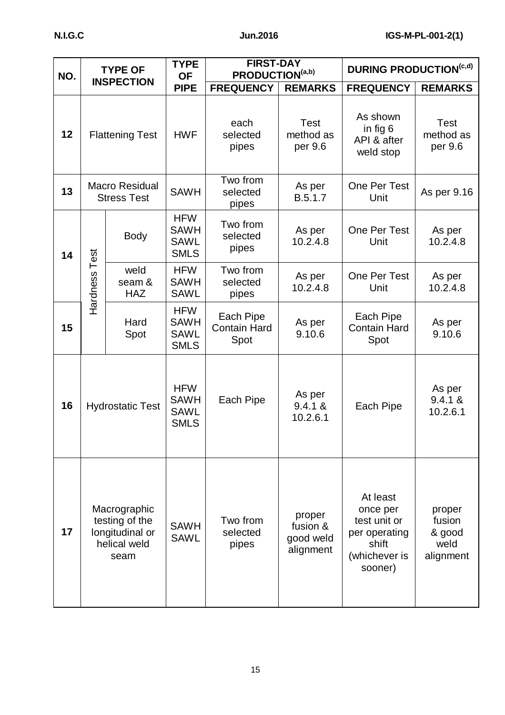| NO. | <b>TYPE OF</b><br><b>INSPECTION</b>                                       |                                             | <b>TYPE</b><br><b>OF</b>                                | <b>FIRST-DAY</b><br>PRODUCTION(a,b)      |                                              | <b>DURING PRODUCTION(c,d)</b>                                                              |                                                 |  |
|-----|---------------------------------------------------------------------------|---------------------------------------------|---------------------------------------------------------|------------------------------------------|----------------------------------------------|--------------------------------------------------------------------------------------------|-------------------------------------------------|--|
|     |                                                                           |                                             | <b>PIPE</b>                                             | <b>FREQUENCY</b>                         | <b>REMARKS</b>                               | <b>FREQUENCY</b>                                                                           | <b>REMARKS</b>                                  |  |
| 12  |                                                                           | <b>Flattening Test</b>                      | <b>HWF</b>                                              | each<br>selected<br>pipes                | <b>Test</b><br>method as<br>per 9.6          | As shown<br>in fig 6<br>API & after<br>weld stop                                           | Test<br>method as<br>per 9.6                    |  |
| 13  |                                                                           | <b>Macro Residual</b><br><b>Stress Test</b> | <b>SAWH</b>                                             | Two from<br>selected<br>pipes            | As per<br>B.5.1.7                            | One Per Test<br>Unit                                                                       | As per 9.16                                     |  |
| 14  | Test                                                                      | <b>Body</b>                                 | <b>HFW</b><br><b>SAWH</b><br><b>SAWL</b><br><b>SMLS</b> | Two from<br>selected<br>pipes            | As per<br>10.2.4.8                           | One Per Test<br>Unit                                                                       | As per<br>10.2.4.8                              |  |
|     | Hardness                                                                  | weld<br>seam &<br><b>HAZ</b>                | <b>HFW</b><br><b>SAWH</b><br><b>SAWL</b>                | Two from<br>selected<br>pipes            | As per<br>10.2.4.8                           | One Per Test<br>Unit                                                                       | As per<br>10.2.4.8                              |  |
| 15  |                                                                           | Hard<br>Spot                                | <b>HFW</b><br><b>SAWH</b><br><b>SAWL</b><br><b>SMLS</b> | Each Pipe<br><b>Contain Hard</b><br>Spot | As per<br>9.10.6                             | Each Pipe<br><b>Contain Hard</b><br>Spot                                                   | As per<br>9.10.6                                |  |
| 16  | <b>Hydrostatic Test</b>                                                   |                                             | <b>HFW</b><br><b>SAWH</b><br><b>SAWL</b><br><b>SMLS</b> | Each Pipe                                | As per<br>9.4.1 &<br>10.2.6.1                | Each Pipe                                                                                  | As per<br>9.4.1 &<br>10.2.6.1                   |  |
| 17  | Macrographic<br>testing of the<br>longitudinal or<br>helical weld<br>seam |                                             | <b>SAWH</b><br><b>SAWL</b>                              | Two from<br>selected<br>pipes            | proper<br>fusion &<br>good weld<br>alignment | At least<br>once per<br>test unit or<br>per operating<br>shift<br>(whichever is<br>sooner) | proper<br>fusion<br>& good<br>weld<br>alignment |  |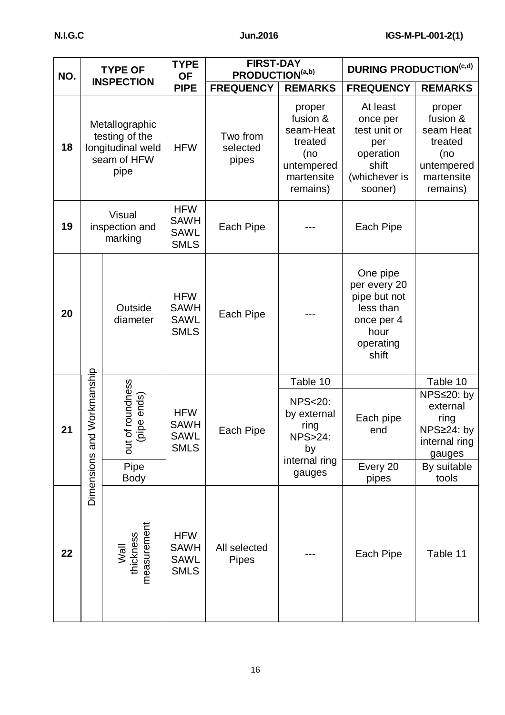| NO. |                                            | <b>TYPE OF</b>                                                               | <b>TYPE</b><br><b>OF</b>                                |                               | <b>FIRST-DAY</b><br>PRODUCTION(a,b)                                                       |                                                                                                   | <b>DURING PRODUCTION(c,d)</b>                                                             |  |           |  |                                                                                      |                  |                                                                         |
|-----|--------------------------------------------|------------------------------------------------------------------------------|---------------------------------------------------------|-------------------------------|-------------------------------------------------------------------------------------------|---------------------------------------------------------------------------------------------------|-------------------------------------------------------------------------------------------|--|-----------|--|--------------------------------------------------------------------------------------|------------------|-------------------------------------------------------------------------|
|     | <b>INSPECTION</b>                          |                                                                              | <b>PIPE</b>                                             | <b>FREQUENCY</b>              | <b>REMARKS</b>                                                                            | <b>FREQUENCY</b>                                                                                  | <b>REMARKS</b>                                                                            |  |           |  |                                                                                      |                  |                                                                         |
| 18  |                                            | Metallographic<br>testing of the<br>longitudinal weld<br>seam of HFW<br>pipe | <b>HFW</b>                                              | Two from<br>selected<br>pipes | proper<br>fusion &<br>seam-Heat<br>treated<br>(no<br>untempered<br>martensite<br>remains) | At least<br>once per<br>test unit or<br>per<br>operation<br>shift<br>(whichever is<br>sooner)     | proper<br>fusion &<br>seam Heat<br>treated<br>(no<br>untempered<br>martensite<br>remains) |  |           |  |                                                                                      |                  |                                                                         |
| 19  | <b>Visual</b><br>inspection and<br>marking |                                                                              | <b>HFW</b><br><b>SAWH</b><br><b>SAWL</b><br><b>SMLS</b> | Each Pipe                     |                                                                                           | Each Pipe                                                                                         |                                                                                           |  |           |  |                                                                                      |                  |                                                                         |
| 20  |                                            | Outside<br>diameter                                                          | <b>HFW</b><br><b>SAWH</b><br><b>SAWL</b><br><b>SMLS</b> | Each Pipe                     |                                                                                           | One pipe<br>per every 20<br>pipe but not<br>less than<br>once per 4<br>hour<br>operating<br>shift |                                                                                           |  |           |  |                                                                                      |                  |                                                                         |
|     |                                            |                                                                              |                                                         |                               | Table 10                                                                                  |                                                                                                   | Table 10                                                                                  |  |           |  |                                                                                      |                  |                                                                         |
| 21  | and Workmanship                            | of roundness<br>(pipe ends)<br>but                                           | <b>HFW</b><br><b>SAWH</b><br>SAWL<br><b>SMLS</b>        |                               |                                                                                           |                                                                                                   |                                                                                           |  | Each Pipe |  | <b>NPS&lt;20:</b><br>by external<br>ring<br><b>NPS&gt;24:</b><br>by<br>internal ring | Each pipe<br>end | NPS≤20: by<br>external<br>ring<br>NPS≥24: by<br>internal ring<br>gauges |
|     | <b>Dimensions</b>                          | Pipe<br><b>Body</b>                                                          |                                                         |                               | gauges                                                                                    | Every 20<br>pipes                                                                                 | By suitable<br>tools                                                                      |  |           |  |                                                                                      |                  |                                                                         |
| 22  |                                            | Wall<br>thickness<br>measurement                                             | <b>HFW</b><br><b>SAWH</b><br><b>SAWL</b><br><b>SMLS</b> | All selected<br><b>Pipes</b>  |                                                                                           | Each Pipe                                                                                         | Table 11                                                                                  |  |           |  |                                                                                      |                  |                                                                         |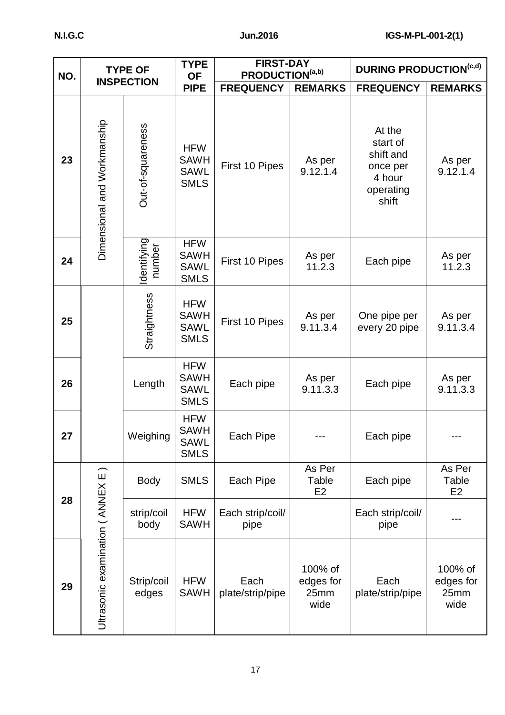| NO. | <b>TYPE OF</b><br><b>INSPECTION</b> |                       | <b>TYPE</b><br><b>OF</b>                                | <b>FIRST-DAY</b><br>PRODUCTION(a,b) |                                      | <b>DURING PRODUCTION(c,d)</b>                                               |                                      |  |
|-----|-------------------------------------|-----------------------|---------------------------------------------------------|-------------------------------------|--------------------------------------|-----------------------------------------------------------------------------|--------------------------------------|--|
|     |                                     |                       | <b>PIPE</b>                                             | <b>FREQUENCY</b>                    | <b>REMARKS</b>                       | <b>FREQUENCY</b>                                                            | <b>REMARKS</b>                       |  |
| 23  | Dimensional and Workmanship         | Out-of-squareness     | <b>HFW</b><br><b>SAWH</b><br><b>SAWL</b><br><b>SMLS</b> | First 10 Pipes                      | As per<br>9.12.1.4                   | At the<br>start of<br>shift and<br>once per<br>4 hour<br>operating<br>shift | As per<br>9.12.1.4                   |  |
| 24  |                                     | ldentifying<br>number | <b>HFW</b><br><b>SAWH</b><br><b>SAWL</b><br><b>SMLS</b> | First 10 Pipes                      | As per<br>11.2.3                     | Each pipe                                                                   | As per<br>11.2.3                     |  |
| 25  |                                     | Straightness          | <b>HFW</b><br><b>SAWH</b><br><b>SAWL</b><br><b>SMLS</b> | First 10 Pipes                      | As per<br>9.11.3.4                   | One pipe per<br>every 20 pipe                                               | As per<br>9.11.3.4                   |  |
| 26  |                                     | Length                | <b>HFW</b><br><b>SAWH</b><br><b>SAWL</b><br><b>SMLS</b> | Each pipe                           | As per<br>9.11.3.3                   | Each pipe                                                                   | As per<br>9.11.3.3                   |  |
| 27  |                                     | Weighing              | <b>HFW</b><br><b>SAWH</b><br><b>SAWL</b><br><b>SMLS</b> | Each Pipe                           |                                      | Each pipe                                                                   |                                      |  |
|     |                                     | <b>Body</b>           | <b>SMLS</b>                                             | Each Pipe                           | As Per<br>Table<br>E2                | Each pipe                                                                   | As Per<br>Table<br>E2                |  |
| 28  |                                     | strip/coil<br>body    | <b>HFW</b><br><b>SAWH</b>                               | Each strip/coil/<br>pipe            |                                      | Each strip/coil/<br>pipe                                                    |                                      |  |
| 29  | Ultrasonic examination ( ANNEX E    | Strip/coil<br>edges   | <b>HFW</b><br><b>SAWH</b>                               | Each<br>plate/strip/pipe            | 100% of<br>edges for<br>25mm<br>wide | Each<br>plate/strip/pipe                                                    | 100% of<br>edges for<br>25mm<br>wide |  |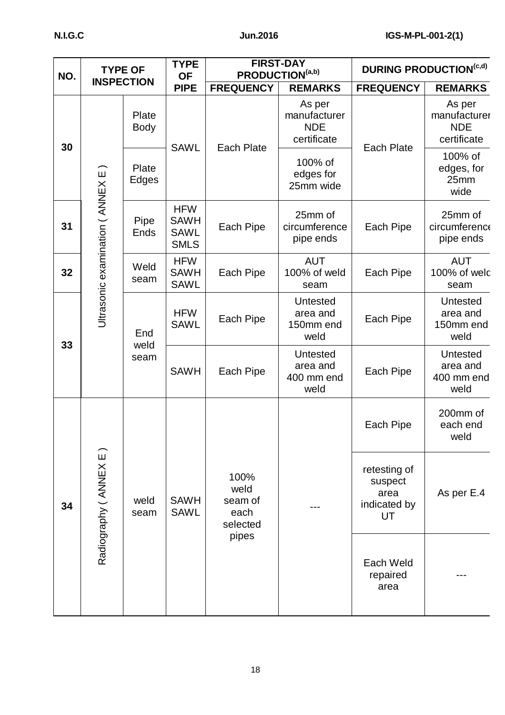| NO. | <b>TYPE OF</b><br><b>INSPECTION</b> |                      | <b>TYPE</b><br><b>OF</b>                                | <b>FIRST-DAY</b><br>PRODUCTION(a,b)         |                                                     | <b>DURING PRODUCTION(c,d)</b>                         |                                                     |
|-----|-------------------------------------|----------------------|---------------------------------------------------------|---------------------------------------------|-----------------------------------------------------|-------------------------------------------------------|-----------------------------------------------------|
|     |                                     |                      | <b>PIPE</b>                                             | <b>FREQUENCY</b>                            | <b>REMARKS</b>                                      | <b>FREQUENCY</b>                                      | <b>REMARKS</b>                                      |
| 30  |                                     | Plate<br><b>Body</b> | <b>SAWL</b>                                             | <b>Each Plate</b>                           | As per<br>manufacturer<br><b>NDE</b><br>certificate | <b>Each Plate</b>                                     | As per<br>manufacturer<br><b>NDE</b><br>certificate |
|     |                                     | Plate<br>Edges       |                                                         |                                             | 100% of<br>edges for<br>25mm wide                   |                                                       | 100% of<br>edges, for<br>25mm<br>wide               |
| 31  | Ultrasonic examination ( ANNEX E    | Pipe<br>Ends         | <b>HFW</b><br><b>SAWH</b><br><b>SAWL</b><br><b>SMLS</b> | Each Pipe                                   | 25mm of<br>circumference<br>pipe ends               | Each Pipe                                             | 25mm of<br>circumference<br>pipe ends               |
| 32  |                                     | Weld<br>seam         | <b>HFW</b><br><b>SAWH</b><br><b>SAWL</b>                | Each Pipe                                   | <b>AUT</b><br>100% of weld<br>seam                  | Each Pipe                                             | <b>AUT</b><br>100% of welc<br>seam                  |
|     |                                     | End<br>weld<br>seam  | <b>HFW</b><br><b>SAWL</b>                               | Each Pipe                                   | Untested<br>area and<br>150mm end<br>weld           | Each Pipe                                             | <b>Untested</b><br>area and<br>150mm end<br>weld    |
| 33  |                                     |                      |                                                         | <b>SAWH</b>                                 | Each Pipe                                           | <b>Untested</b><br>area and<br>400 mm end<br>weld     | Each Pipe                                           |
|     |                                     |                      |                                                         |                                             |                                                     | Each Pipe                                             | 200mm of<br>each end<br>weld                        |
| 34  | Radiography ( ANNEX E               | weld<br>seam         | <b>SAWH</b><br><b>SAWL</b>                              | 100%<br>weld<br>seam of<br>each<br>selected |                                                     | retesting of<br>suspect<br>area<br>indicated by<br>UT | As per E.4                                          |
|     |                                     |                      |                                                         | pipes                                       |                                                     | Each Weld<br>repaired<br>area                         |                                                     |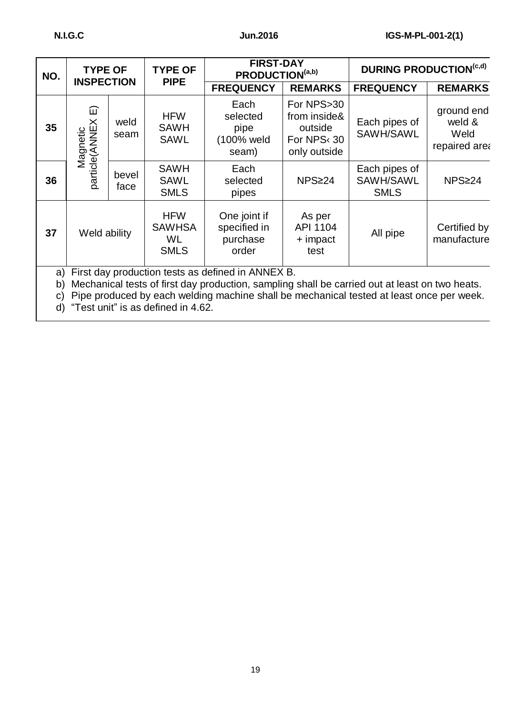| NO.            |                                                                                                                                                                                                                                                 | <b>TYPE OF</b><br><b>TYPE OF</b> |                                                  | <b>FIRST-DAY</b><br>PRODUCTION(a,b)               |                                                                                 | <b>DURING PRODUCTION(c,d)</b>             |                                               |
|----------------|-------------------------------------------------------------------------------------------------------------------------------------------------------------------------------------------------------------------------------------------------|----------------------------------|--------------------------------------------------|---------------------------------------------------|---------------------------------------------------------------------------------|-------------------------------------------|-----------------------------------------------|
|                | <b>INSPECTION</b><br><b>PIPE</b>                                                                                                                                                                                                                |                                  |                                                  | <b>FREQUENCY</b>                                  | <b>REMARKS</b>                                                                  | <b>FREQUENCY</b>                          | <b>REMARKS</b>                                |
| 35             | 冚<br>particle(ANNEX<br>Magnetic                                                                                                                                                                                                                 | weld<br>seam                     | <b>HFW</b><br><b>SAWH</b><br><b>SAWL</b>         | Each<br>selected<br>pipe<br>(100% weld<br>seam)   | For NPS>30<br>from inside&<br>outside<br>For NPS <sup>(30</sup><br>only outside | Each pipes of<br>SAWH/SAWL                | ground end<br>weld &<br>Weld<br>repaired area |
| 36             |                                                                                                                                                                                                                                                 | bevel<br>face                    | <b>SAWH</b><br><b>SAWL</b><br><b>SMLS</b>        | Each<br>selected<br>pipes                         | NPS≥24                                                                          | Each pipes of<br>SAWH/SAWL<br><b>SMLS</b> | NPS≥24                                        |
| 37             | Weld ability                                                                                                                                                                                                                                    |                                  | <b>HFW</b><br><b>SAWHSA</b><br>WL<br><b>SMLS</b> | One joint if<br>specified in<br>purchase<br>order | As per<br>API 1104<br>+ impact<br>test                                          | All pipe                                  | Certified by<br>manufacture                   |
| a)<br>b)<br>C) | First day production tests as defined in ANNEX B.<br>Mechanical tests of first day production, sampling shall be carried out at least on two heats.<br>Pipe produced by each welding machine shall be mechanical tested at least once per week. |                                  |                                                  |                                                   |                                                                                 |                                           |                                               |

d) "Test unit" is as defined in 4.62.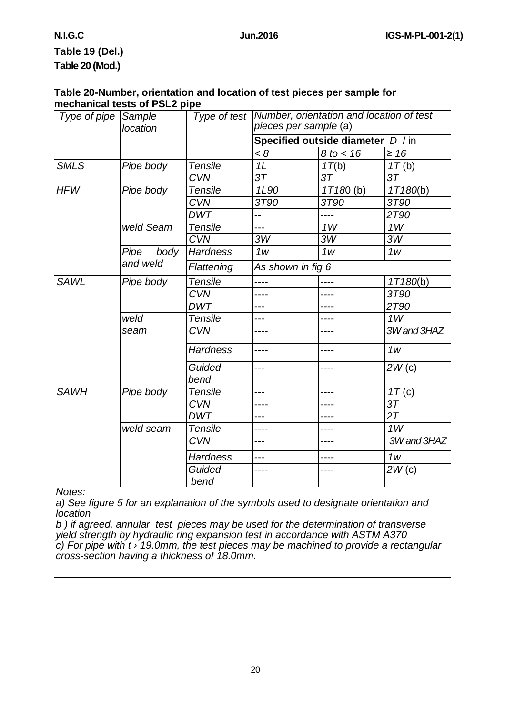# **Table 19 (Del.) Table 20 (Mod.)**

#### **Table 20-Number, orientation and location of test pieces per sample for mechanical tests of PSL2 pipe**

| Type of pipe | Sample<br>location |                 | Type of test   Number, orientation and location of test<br>pieces per sample (a) |                |                |  |
|--------------|--------------------|-----------------|----------------------------------------------------------------------------------|----------------|----------------|--|
|              |                    |                 | Specified outside diameter D / in                                                |                |                |  |
|              |                    |                 | < 8                                                                              | $8$ to $<$ 16  | $\geq 16$      |  |
| <b>SMLS</b>  | Pipe body          | <b>Tensile</b>  | 1L                                                                               | 1T(b)          | 1T(b)          |  |
|              |                    | <b>CVN</b>      | 3T                                                                               | 3 <sub>T</sub> | 3T             |  |
| <b>HFW</b>   | Pipe body          | <b>Tensile</b>  | 1L90                                                                             | $1T180$ (b)    | 1T180(b)       |  |
|              |                    | <b>CVN</b>      | 3T90                                                                             | 3T90           | 3T90           |  |
|              |                    | <b>DWT</b>      | --                                                                               |                | 2T90           |  |
|              | weld Seam          | <b>Tensile</b>  | ---                                                                              | 1W             | 1W             |  |
|              |                    | <b>CVN</b>      | 3W                                                                               | 3W             | 3W             |  |
|              | Pipe<br>body       | <b>Hardness</b> | 1 <sub>W</sub>                                                                   | 1 <sub>W</sub> | 1 <sub>W</sub> |  |
|              | and weld           | Flattening      | As shown in fig 6                                                                |                |                |  |
| <b>SAWL</b>  | Pipe body          | <b>Tensile</b>  | ----                                                                             | ----           | 1T180(b)       |  |
|              |                    | <b>CVN</b>      | ----                                                                             |                | 3T90           |  |
|              |                    | <b>DWT</b>      | ---                                                                              |                | 2T90           |  |
|              | weld               | <b>Tensile</b>  | $---$                                                                            | ----           | 1W             |  |
|              | seam               | <b>CVN</b>      | ----                                                                             | ----           | 3W and 3HAZ    |  |
|              |                    | <b>Hardness</b> | ----                                                                             | ----           | 1 <sub>W</sub> |  |
|              |                    | Guided<br>bend  | ---                                                                              | ----           | 2W(c)          |  |
| <b>SAWH</b>  | Pipe body          | Tensile         | ---                                                                              |                | 1T(c)          |  |
|              |                    | <b>CVN</b>      | ----                                                                             | ----           | 37             |  |
|              |                    | <b>DWT</b>      | ---                                                                              |                | 2T             |  |
|              | weld seam          | <b>Tensile</b>  | ----                                                                             | ----           | 1W             |  |
|              |                    | <b>CVN</b>      | $---$                                                                            |                | 3W and 3HAZ    |  |
|              |                    | <b>Hardness</b> | ---                                                                              | ----           | 1 <sub>W</sub> |  |
|              |                    | Guided<br>bend  | ----                                                                             | ----           | 2W(c)          |  |

*Notes:*

*a) See figure 5 for an explanation of the symbols used to designate orientation and location*

*b ) if agreed, annular test pieces may be used for the determination of transverse yield strength by hydraulic ring expansion test in accordance with ASTM A370 c) For pipe with t › 19.0mm, the test pieces may be machined to provide a rectangular cross-section having a thickness of 18.0mm.*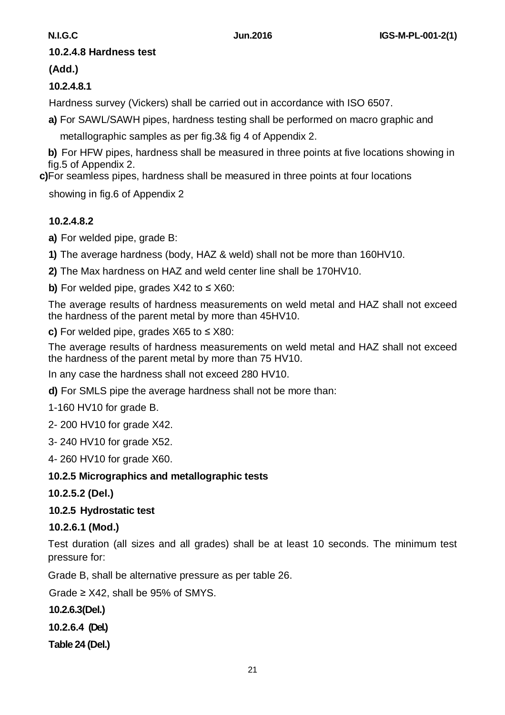#### **10.2.4.8 Hardness test**

#### **(Add.)**

## **10.2.4.8.1**

Hardness survey (Vickers) shall be carried out in accordance with ISO 6507.

**a)** For SAWL/SAWH pipes, hardness testing shall be performed on macro graphic and

metallographic samples as per fig.3& fig 4 of Appendix 2.

**b)** For HFW pipes, hardness shall be measured in three points at five locations showing in fig.5 of Appendix 2.

 **c)** For seamless pipes, hardness shall be measured in three points at four locations

showing in fig.6 of Appendix 2

# **10.2.4.8.2**

**a)** For welded pipe, grade B:

**1)** The average hardness (body, HAZ & weld) shall not be more than 160HV10.

**2)** The Max hardness on HAZ and weld center line shall be 170HV10.

**b)** For welded pipe, grades X42 to ≤ X60:

The average results of hardness measurements on weld metal and HAZ shall not exceed the hardness of the parent metal by more than 45HV10.

**c)** For welded pipe, grades X65 to ≤ X80:

The average results of hardness measurements on weld metal and HAZ shall not exceed the hardness of the parent metal by more than 75 HV10.

In any case the hardness shall not exceed 280 HV10.

**d)** For SMLS pipe the average hardness shall not be more than:

1-160 HV10 for grade B.

2- 200 HV10 for grade X42.

3- 240 HV10 for grade X52.

4- 260 HV10 for grade X60.

#### **10.2.5 Micrographics and metallographic tests**

**10.2.5.2 (Del.)** 

# **10.2.5 Hydrostatic test**

#### **10.2.6.1 (Mod.)**

Test duration (all sizes and all grades) shall be at least 10 seconds. The minimum test pressure for:

Grade B, shall be alternative pressure as per table 26.

Grade  $\geq$  X42, shall be 95% of SMYS.

**10.2.6.3(Del.)**

**10.2.6.4 (Del.)** 

**Table 24 (Del.)**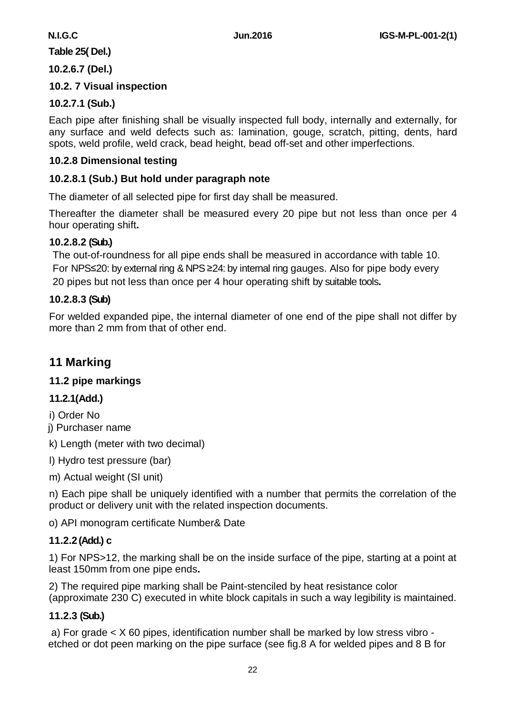# **Table 25( Del.)**

#### **10.2.6.7 (Del.)**

#### **10.2. 7 Visual inspection**

#### **10.2.7.1 (Sub.)**

Each pipe after finishing shall be visually inspected full body, internally and externally, for any surface and weld defects such as: lamination, gouge, scratch, pitting, dents, hard spots, weld profile, weld crack, bead height, bead off-set and other imperfections.

#### **10.2.8 Dimensional testing**

#### **10.2.8.1 (Sub.) But hold under paragraph note**

The diameter of all selected pipe for first day shall be measured.

Thereafter the diameter shall be measured every 20 pipe but not less than once per 4 hour operating shift**.**

#### **10.2.8.2 (Sub.)**

The out-of-roundness for all pipe ends shall be measured in accordance with table 10. For NPS≤20: by external ring & NPS ≥24: by internal ring gauges. Also for pipe body every 20 pipes but not less than once per 4 hour operating shift by suitable tools**.**

#### **10.2.8.3 (Sub)**

For welded expanded pipe, the internal diameter of one end of the pipe shall not differ by more than 2 mm from that of other end.

# **11 Marking**

#### **11.2 pipe markings**

#### **11.2.1(Add.)**

i) Order No

j) Purchaser name

k) Length (meter with two decimal)

l) Hydro test pressure (bar)

m) Actual weight (SI unit)

n) Each pipe shall be uniquely identified with a number that permits the correlation of the product or delivery unit with the related inspection documents.

o) API monogram certificate Number& Date

#### **11.2.2(Add.) c**

1) For NPS>12, the marking shall be on the inside surface of the pipe, starting at a point at least 150mm from one pipe ends**.**

2) The required pipe marking shall be Paint-stenciled by heat resistance color (approximate 230 C) executed in white block capitals in such a way legibility is maintained.

#### **11.2.3 (Sub.)**

a) For grade < X 60 pipes, identification number shall be marked by low stress vibro etched or dot peen marking on the pipe surface (see fig.8 A for welded pipes and 8 B for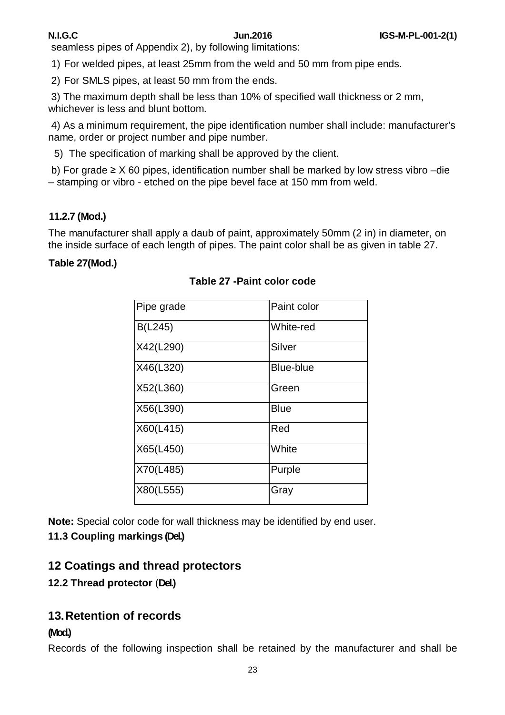seamless pipes of Appendix 2), by following limitations:

1) For welded pipes, at least 25mm from the weld and 50 mm from pipe ends.

2) For SMLS pipes, at least 50 mm from the ends.

3) The maximum depth shall be less than 10% of specified wall thickness or 2 mm, whichever is less and blunt bottom.

4) As a minimum requirement, the pipe identification number shall include: manufacturer's name, order or project number and pipe number.

5) The specification of marking shall be approved by the client.

b) For grade  $\geq$  X 60 pipes, identification number shall be marked by low stress vibro –die – stamping or vibro - etched on the pipe bevel face at 150 mm from weld.

### **11.2.7 (Mod.)**

The manufacturer shall apply a daub of paint, approximately 50mm (2 in) in diameter, on the inside surface of each length of pipes. The paint color shall be as given in table 27.

#### **Table 27(Mod.)**

| Pipe grade | Paint color      |
|------------|------------------|
| B(L245)    | White-red        |
| X42(L290)  | Silver           |
| X46(L320)  | <b>Blue-blue</b> |
| X52(L360)  | Green            |
| X56(L390)  | <b>Blue</b>      |
| X60(L415)  | Red              |
| X65(L450)  | White            |
| X70(L485)  | Purple           |
| X80(L555)  | Gray             |

#### **Table 27 -Paint color code**

**Note:** Special color code for wall thickness may be identified by end user. **11.3 Coupling markings (Del.)**

# **12 Coatings and thread protectors**

# **12.2 Thread protector** (**Del.)**

# **13.Retention of records**

#### **(Mod.)**

Records of the following inspection shall be retained by the manufacturer and shall be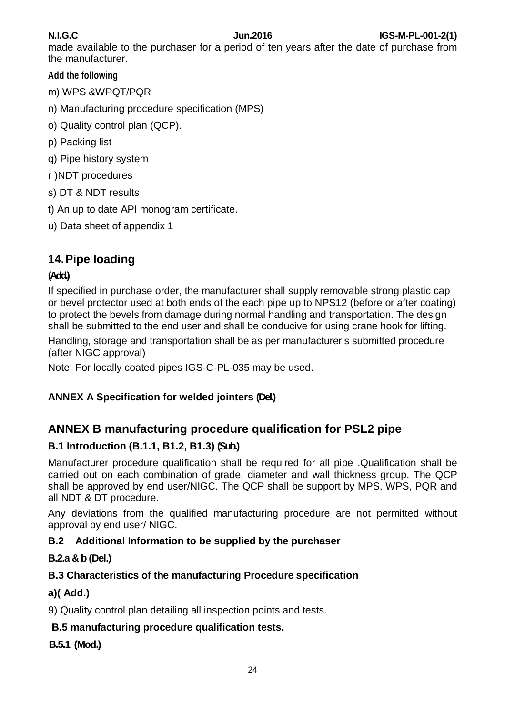made available to the purchaser for a period of ten years after the date of purchase from the manufacturer.

# **Add the following**

m) WPS &WPQT/PQR

n) Manufacturing procedure specification (MPS)

- o) Quality control plan (QCP).
- p) Packing list
- q) Pipe history system
- r )NDT procedures
- s) DT & NDT results
- t) An up to date API monogram certificate.
- u) Data sheet of appendix 1

# **14.Pipe loading**

# **(Add.)**

If specified in purchase order, the manufacturer shall supply removable strong plastic cap or bevel protector used at both ends of the each pipe up to NPS12 (before or after coating) to protect the bevels from damage during normal handling and transportation. The design shall be submitted to the end user and shall be conducive for using crane hook for lifting.

Handling, storage and transportation shall be as per manufacturer's submitted procedure (after NIGC approval)

Note: For locally coated pipes IGS-C-PL-035 may be used.

# **ANNEX A Specification for welded jointers (Del.)**

# **ANNEX B manufacturing procedure qualification for PSL2 pipe**

# **B.1 Introduction (B.1.1, B1.2, B1.3) (Sub.)**

Manufacturer procedure qualification shall be required for all pipe .Qualification shall be carried out on each combination of grade, diameter and wall thickness group. The QCP shall be approved by end user/NIGC. The QCP shall be support by MPS, WPS, PQR and all NDT & DT procedure.

Any deviations from the qualified manufacturing procedure are not permitted without approval by end user/ NIGC.

# **B.2 Additional Information to be supplied by the purchaser**

# **B.2.a & b (Del.)**

# **B.3 Characteristics of the manufacturing Procedure specification**

# **a)( Add.)**

9) Quality control plan detailing all inspection points and tests.

# **B.5 manufacturing procedure qualification tests.**

# **B.5.1 (Mod.)**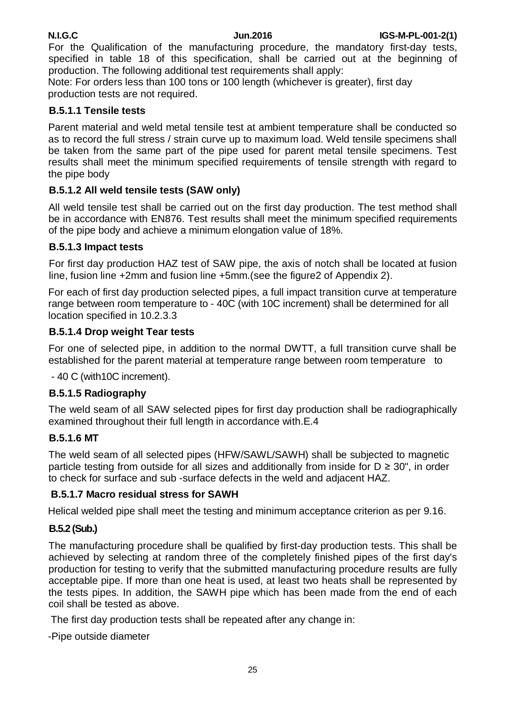For the Qualification of the manufacturing procedure, the mandatory first-day tests, specified in table 18 of this specification, shall be carried out at the beginning of production. The following additional test requirements shall apply:

Note: For orders less than 100 tons or 100 length (whichever is greater), first day production tests are not required.

#### **B.5.1.1 Tensile tests**

Parent material and weld metal tensile test at ambient temperature shall be conducted so as to record the full stress / strain curve up to maximum load. Weld tensile specimens shall be taken from the same part of the pipe used for parent metal tensile specimens. Test results shall meet the minimum specified requirements of tensile strength with regard to the pipe body

### **B.5.1.2 All weld tensile tests (SAW only)**

All weld tensile test shall be carried out on the first day production. The test method shall be in accordance with EN876. Test results shall meet the minimum specified requirements of the pipe body and achieve a minimum elongation value of 18%.

#### **B.5.1.3 Impact tests**

For first day production HAZ test of SAW pipe, the axis of notch shall be located at fusion line, fusion line +2mm and fusion line +5mm.(see the figure2 of Appendix 2).

For each of first day production selected pipes, a full impact transition curve at temperature range between room temperature to - 40C (with 10C increment) shall be determined for all location specified in 10.2.3.3

#### **B.5.1.4 Drop weight Tear tests**

For one of selected pipe, in addition to the normal DWTT, a full transition curve shall be established for the parent material at temperature range between room temperature to

- 40 C (with10C increment).

#### **B.5.1.5 Radiography**

The weld seam of all SAW selected pipes for first day production shall be radiographically examined throughout their full length in accordance with.E.4

#### **B.5.1.6 MT**

The weld seam of all selected pipes (HFW/SAWL/SAWH) shall be subjected to magnetic particle testing from outside for all sizes and additionally from inside for  $D \geq 30$ ", in order to check for surface and sub -surface defects in the weld and adjacent HAZ.

#### **B.5.1.7 Macro residual stress for SAWH**

Helical welded pipe shall meet the testing and minimum acceptance criterion as per 9.16.

# **B.5.2 (Sub.)**

The manufacturing procedure shall be qualified by first-day production tests. This shall be achieved by selecting at random three of the completely finished pipes of the first day's production for testing to verify that the submitted manufacturing procedure results are fully acceptable pipe. If more than one heat is used, at least two heats shall be represented by the tests pipes. In addition, the SAWH pipe which has been made from the end of each coil shall be tested as above.

The first day production tests shall be repeated after any change in:

-Pipe outside diameter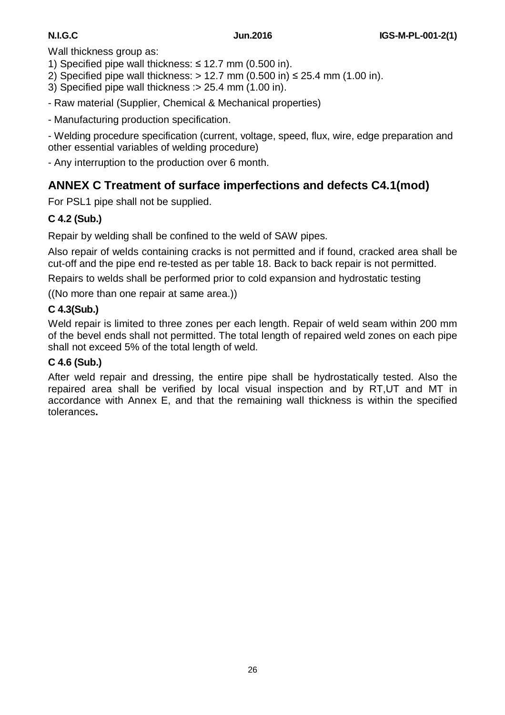Wall thickness group as:

- 1) Specified pipe wall thickness:  $\leq$  12.7 mm (0.500 in).
- 2) Specified pipe wall thickness:  $> 12.7$  mm (0.500 in)  $\leq$  25.4 mm (1.00 in).
- 3) Specified pipe wall thickness :> 25.4 mm (1.00 in).
- Raw material (Supplier, Chemical & Mechanical properties)
- Manufacturing production specification.

- Welding procedure specification (current, voltage, speed, flux, wire, edge preparation and other essential variables of welding procedure)

- Any interruption to the production over 6 month.

# **ANNEX C Treatment of surface imperfections and defects C4.1(mod)**

For PSL1 pipe shall not be supplied.

# **C 4.2 (Sub.)**

Repair by welding shall be confined to the weld of SAW pipes.

Also repair of welds containing cracks is not permitted and if found, cracked area shall be cut-off and the pipe end re-tested as per table 18. Back to back repair is not permitted.

Repairs to welds shall be performed prior to cold expansion and hydrostatic testing

((No more than one repair at same area.))

# **C 4.3(Sub.)**

Weld repair is limited to three zones per each length. Repair of weld seam within 200 mm of the bevel ends shall not permitted. The total length of repaired weld zones on each pipe shall not exceed 5% of the total length of weld.

# **C 4.6 (Sub.)**

After weld repair and dressing, the entire pipe shall be hydrostatically tested. Also the repaired area shall be verified by local visual inspection and by RT,UT and MT in accordance with Annex E, and that the remaining wall thickness is within the specified tolerances**.**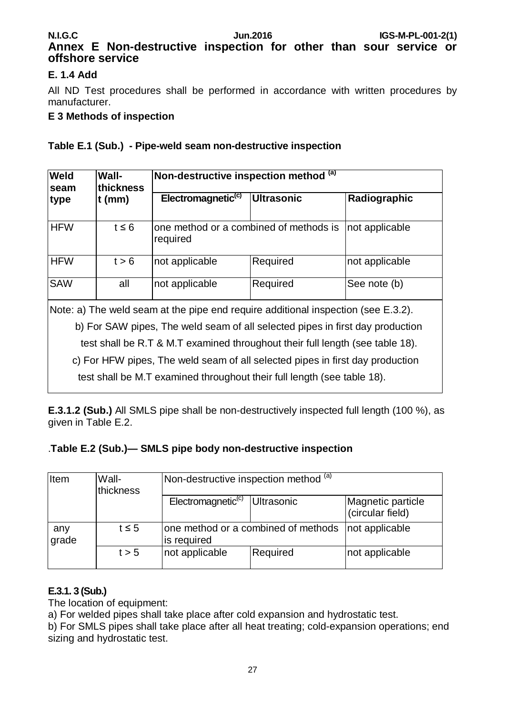# **Annex E Non-destructive inspection for other than sour service or offshore service**

#### **E. 1.4 Add**

All ND Test procedures shall be performed in accordance with written procedures by manufacturer.

#### **E 3 Methods of inspection**

#### **Table E.1 (Sub.) - Pipe-weld seam non-destructive inspection**

| <b>Weld</b><br>seam | <b>Wall-</b><br>thickness | Non-destructive inspection method $\overline{^{(a)}}$ |                                                          |                |  |  |
|---------------------|---------------------------|-------------------------------------------------------|----------------------------------------------------------|----------------|--|--|
| type                | $t$ (mm)                  | Electromagnetic <sup>(c)</sup>                        | <b>Ultrasonic</b>                                        | Radiographic   |  |  |
| <b>HFW</b>          | $t \leq 6$                | required                                              | one method or a combined of methods is<br>not applicable |                |  |  |
| <b>HFW</b>          | t > 6                     | not applicable                                        | Required                                                 | not applicable |  |  |
| <b>SAW</b>          | all                       | not applicable                                        | Required                                                 | See note (b)   |  |  |

Note: a) The weld seam at the pipe end require additional inspection (see E.3.2).

b) For SAW pipes, The weld seam of all selected pipes in first day production

test shall be R.T & M.T examined throughout their full length (see table 18).

c) For HFW pipes, The weld seam of all selected pipes in first day production

test shall be M.T examined throughout their full length (see table 18).

**E.3.1.2 (Sub.)** All SMLS pipe shall be non-destructively inspected full length (100 %), as given in Table E.2.

#### .**Table E.2 (Sub.)— SMLS pipe body non-destructive inspection**

| Item         | Wall-<br>thickness | Non-destructive inspection method (a)              |            |                                       |  |
|--------------|--------------------|----------------------------------------------------|------------|---------------------------------------|--|
|              |                    | Electromagnetic <sup>(c)</sup>                     | Ultrasonic | Magnetic particle<br>(circular field) |  |
| any<br>grade | $t \leq 5$         | one method or a combined of methods<br>is required |            | not applicable                        |  |
|              | t > 5              | not applicable                                     | Required   | not applicable                        |  |

#### **E.3.1. 3 (Sub.)**

The location of equipment:

a) For welded pipes shall take place after cold expansion and hydrostatic test.

b) For SMLS pipes shall take place after all heat treating; cold-expansion operations; end sizing and hydrostatic test.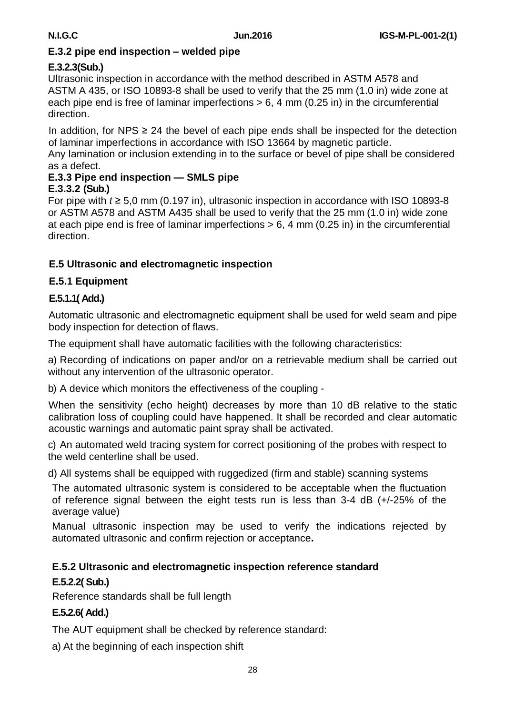#### **E.3.2 pipe end inspection – welded pipe**

#### **E.3.2.3(Sub.)**

Ultrasonic inspection in accordance with the method described in ASTM A578 and ASTM A 435, or ISO 10893-8 shall be used to verify that the 25 mm (1.0 in) wide zone at each pipe end is free of laminar imperfections > 6, 4 mm (0.25 in) in the circumferential direction.

In addition, for NPS  $\geq$  24 the bevel of each pipe ends shall be inspected for the detection of laminar imperfections in accordance with ISO 13664 by magnetic particle.

Any lamination or inclusion extending in to the surface or bevel of pipe shall be considered as a defect.

#### **E.3.3 Pipe end inspection — SMLS pipe E.3.3.2 (Sub.)**

For pipe with *t* ≥ 5,0 mm (0.197 in), ultrasonic inspection in accordance with ISO 10893-8 or ASTM A578 and ASTM A435 shall be used to verify that the 25 mm (1.0 in) wide zone at each pipe end is free of laminar imperfections  $> 6$ , 4 mm (0.25 in) in the circumferential direction.

# **E.5 Ultrasonic and electromagnetic inspection**

# **E.5.1 Equipment**

# **E.5.1.1( Add.)**

Automatic ultrasonic and electromagnetic equipment shall be used for weld seam and pipe body inspection for detection of flaws.

The equipment shall have automatic facilities with the following characteristics:

a) Recording of indications on paper and/or on a retrievable medium shall be carried out without any intervention of the ultrasonic operator.

b) A device which monitors the effectiveness of the coupling -

When the sensitivity (echo height) decreases by more than 10 dB relative to the static calibration loss of coupling could have happened. It shall be recorded and clear automatic acoustic warnings and automatic paint spray shall be activated.

c) An automated weld tracing system for correct positioning of the probes with respect to the weld centerline shall be used.

d) All systems shall be equipped with ruggedized (firm and stable) scanning systems

The automated ultrasonic system is considered to be acceptable when the fluctuation of reference signal between the eight tests run is less than 3-4 dB (+/-25% of the average value)

Manual ultrasonic inspection may be used to verify the indications rejected by automated ultrasonic and confirm rejection or acceptance**.**

# **E.5.2 Ultrasonic and electromagnetic inspection reference standard**

# **E.5.2.2( Sub.)**

Reference standards shall be full length

# **E.5.2.6( Add.)**

The AUT equipment shall be checked by reference standard:

a) At the beginning of each inspection shift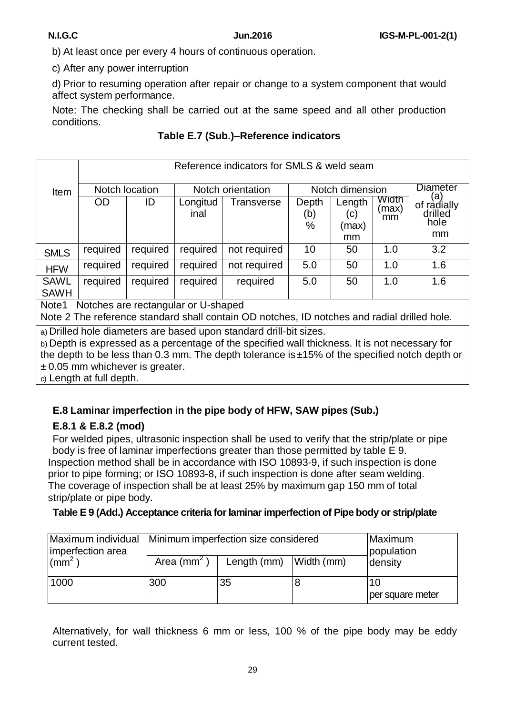b) At least once per every 4 hours of continuous operation.

c) After any power interruption

d) Prior to resuming operation after repair or change to a system component that would affect system performance.

Note: The checking shall be carried out at the same speed and all other production conditions.

#### **Table E.7 (Sub.)–Reference indicators**

|                            |                                                                                             | Reference indicators for SMLS & weld seam |                  |                   |                   |                        |                      |                                             |  |  |
|----------------------------|---------------------------------------------------------------------------------------------|-------------------------------------------|------------------|-------------------|-------------------|------------------------|----------------------|---------------------------------------------|--|--|
| Item                       | Notch location                                                                              |                                           |                  | Notch orientation |                   | Notch dimension        |                      | <b>Diameter</b>                             |  |  |
|                            | <b>OD</b>                                                                                   | ID.                                       | Longitud<br>inal | Transverse        | Depth<br>(b)<br>% | Length<br>(c)<br>(max) | Width<br>(max)<br>mm | (a)<br>of radially<br>drilled<br>hole<br>mm |  |  |
|                            |                                                                                             |                                           |                  |                   |                   | mm                     |                      |                                             |  |  |
| <b>SMLS</b>                | required                                                                                    | required                                  | required         | not required      | 10                | 50                     | 1.0                  | 3.2                                         |  |  |
| <b>HFW</b>                 | required                                                                                    | required                                  | required         | not required      | 5.0               | 50                     | 1.0                  | 1.6                                         |  |  |
| <b>SAWL</b><br><b>SAWH</b> | required                                                                                    | required                                  | required         | required          | 5.0               | 50                     | 1.0                  | 1.6                                         |  |  |
| Note1                      | Notches are rectangular or U-shaped                                                         |                                           |                  |                   |                   |                        |                      |                                             |  |  |
|                            | Note 2 The reference standard shall contain OD notches, ID notches and radial drilled hole. |                                           |                  |                   |                   |                        |                      |                                             |  |  |

a) Drilled hole diameters are based upon standard drill-bit sizes.

b) Depth is expressed as a percentage of the specified wall thickness. It is not necessary for the depth to be less than 0.3 mm. The depth tolerance is ±15% of the specified notch depth or ± 0.05 mm whichever is greater.

c) Length at full depth.

#### **E.8 Laminar imperfection in the pipe body of HFW, SAW pipes (Sub.)**

#### **E.8.1 & E.8.2 (mod)**

For welded pipes, ultrasonic inspection shall be used to verify that the strip/plate or pipe body is free of laminar imperfections greater than those permitted by table E 9. Inspection method shall be in accordance with ISO 10893-9, if such inspection is done prior to pipe forming; or ISO 10893-8, if such inspection is done after seam welding. The coverage of inspection shall be at least 25% by maximum gap 150 mm of total strip/plate or pipe body.

#### **Table E 9 (Add.) Acceptance criteria forlaminar imperfection of Pipe body or strip/plate**

| Maximum individual Minimum imperfection size considered<br>imperfection area |                | Maximum<br>population    |  |                        |
|------------------------------------------------------------------------------|----------------|--------------------------|--|------------------------|
| $\sim$ (mm <sup>2</sup> )                                                    | Area ( $mm2$ ) | Length (mm)   Width (mm) |  | density                |
| 1000                                                                         | 300            | 35                       |  | 10<br>per square meter |

Alternatively, for wall thickness 6 mm or less, 100 % of the pipe body may be eddy current tested.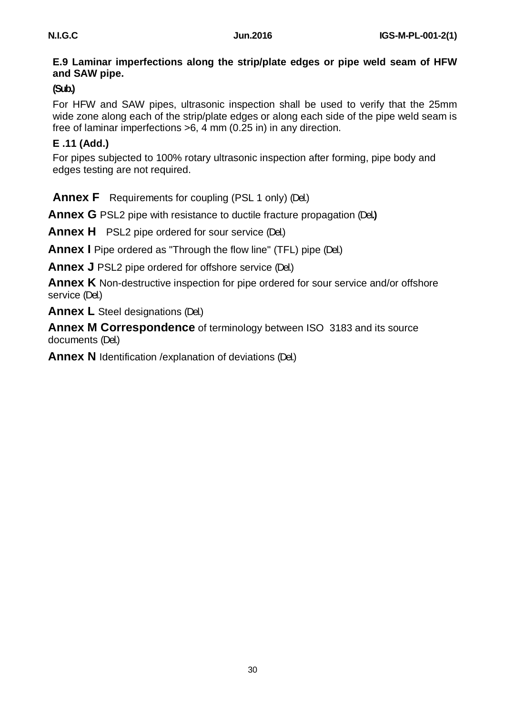#### **E.9 Laminar imperfections along the strip/plate edges or pipe weld seam of HFW and SAW pipe.**

## **(Sub.)**

For HFW and SAW pipes, ultrasonic inspection shall be used to verify that the 25mm wide zone along each of the strip/plate edges or along each side of the pipe weld seam is free of laminar imperfections >6, 4 mm (0.25 in) in any direction.

## **E .11 (Add.)**

For pipes subjected to 100% rotary ultrasonic inspection after forming, pipe body and edges testing are not required.

**Annex F** Requirements for coupling (PSL 1 only) (Del.)

**Annex G** PSL2 pipe with resistance to ductile fracture propagation (Del**.)**

**Annex H** PSL2 pipe ordered for sour service (Del.)

**Annex I** Pipe ordered as "Through the flow line" (TFL) pipe (Del.)

**Annex J** PSL2 pipe ordered for offshore service (Del.)

**Annex K** Non-destructive inspection for pipe ordered for sour service and/or offshore service (Del.)

**Annex L** Steel designations (Del.)

**Annex M Correspondence** of terminology between ISO 3183 and its source documents (Del.)

**Annex N** Identification /explanation of deviations (Del.)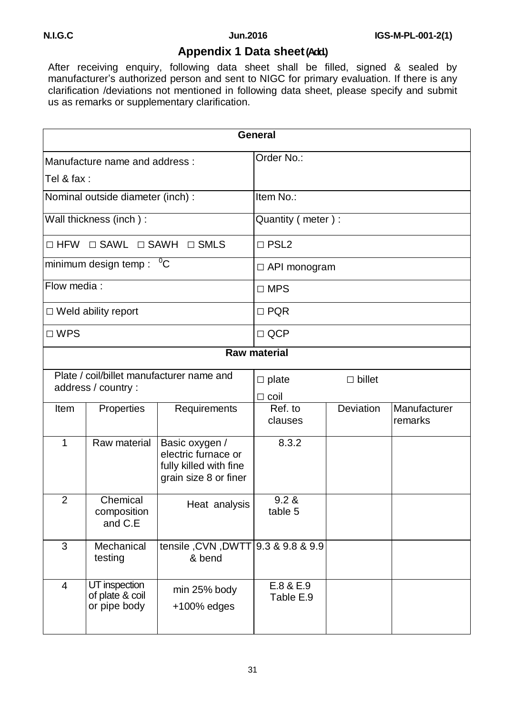# **Appendix 1 Data sheet(Add.)**

After receiving enquiry, following data sheet shall be filled, signed & sealed by manufacturer's authorized person and sent to NIGC for primary evaluation. If there is any clarification /deviations not mentioned in following data sheet, please specify and submit us as remarks or supplementary clarification.

|                |                                                  |                                                                                          | <b>General</b>                                     |           |                         |  |
|----------------|--------------------------------------------------|------------------------------------------------------------------------------------------|----------------------------------------------------|-----------|-------------------------|--|
|                | Manufacture name and address:                    |                                                                                          | Order No.:                                         |           |                         |  |
| Tel & fax:     |                                                  |                                                                                          |                                                    |           |                         |  |
|                | Nominal outside diameter (inch) :                |                                                                                          | Item No.:                                          |           |                         |  |
|                | Wall thickness (inch):                           |                                                                                          | Quantity ( meter ) :                               |           |                         |  |
|                | □ HFW □ SAWL □ SAWH □ SMLS                       |                                                                                          | $\Box$ PSL2                                        |           |                         |  |
|                | minimum design temp: $\sqrt[0]{C}$               |                                                                                          | $\Box$ API monogram                                |           |                         |  |
| Flow media:    |                                                  |                                                                                          | $\square$ MPS                                      |           |                         |  |
|                | $\Box$ Weld ability report                       |                                                                                          | $\Box$ PQR                                         |           |                         |  |
| $\Box$ WPS     |                                                  |                                                                                          | $\Box$ QCP                                         |           |                         |  |
|                |                                                  |                                                                                          | <b>Raw material</b>                                |           |                         |  |
|                | address / country :                              | Plate / coil/billet manufacturer name and                                                | $\square$ billet<br>$\square$ plate<br>$\Box$ coil |           |                         |  |
| Item           | Properties                                       | Requirements                                                                             | Ref. to<br>clauses                                 | Deviation | Manufacturer<br>remarks |  |
| $\mathbf{1}$   | Raw material                                     | Basic oxygen /<br>electric furnace or<br>fully killed with fine<br>grain size 8 or finer | 8.3.2                                              |           |                         |  |
| $\overline{2}$ | Chemical<br>composition<br>and C.E               | Heat analysis                                                                            | 9.2 &<br>table 5                                   |           |                         |  |
| 3              | Mechanical<br>testing                            | tensile, CVN, DWTT 9.3 & 9.8 & 9.9<br>& bend                                             |                                                    |           |                         |  |
| 4              | UT inspection<br>of plate & coil<br>or pipe body | min 25% body<br>$+100\%$ edges                                                           | E.8 & E.9<br>Table E.9                             |           |                         |  |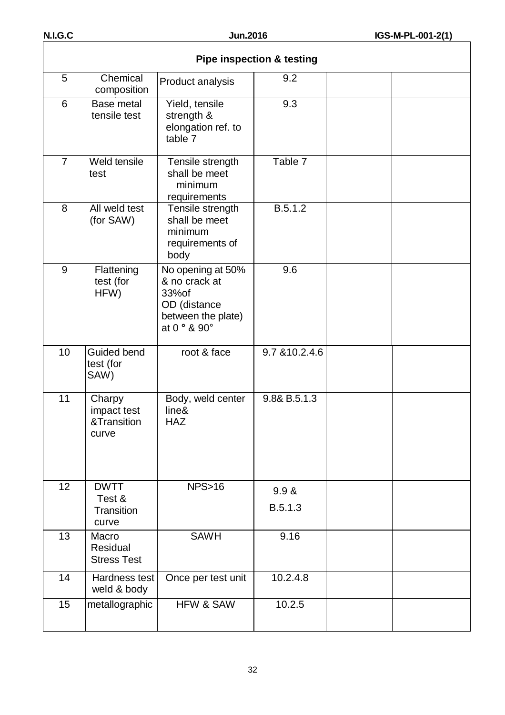|                | <b>Pipe inspection &amp; testing</b>                |                                                                                                    |                  |  |  |  |  |
|----------------|-----------------------------------------------------|----------------------------------------------------------------------------------------------------|------------------|--|--|--|--|
| 5              | Chemical<br>composition                             | Product analysis                                                                                   | 9.2              |  |  |  |  |
| 6              | Base metal<br>tensile test                          | Yield, tensile<br>strength &<br>elongation ref. to<br>table 7                                      | 9.3              |  |  |  |  |
| $\overline{7}$ | Weld tensile<br>test                                | Tensile strength<br>shall be meet<br>minimum<br>requirements                                       | Table 7          |  |  |  |  |
| 8              | All weld test<br>(for SAW)                          | Tensile strength<br>shall be meet<br>minimum<br>requirements of<br>body                            | B.5.1.2          |  |  |  |  |
| 9              | Flattening<br>test (for<br>HFW)                     | No opening at 50%<br>& no crack at<br>33% of<br>OD (distance<br>between the plate)<br>at 0 ° & 90° | 9.6              |  |  |  |  |
| 10             | Guided bend<br>test (for<br>SAW)                    | root & face                                                                                        | 9.7 & 10.2.4.6   |  |  |  |  |
| 11             | Charpy<br>impact test<br>&Transition<br>curve       | Body, weld center<br>line&<br><b>HAZ</b>                                                           | 9.8& B.5.1.3     |  |  |  |  |
| 12             | <b>DWTT</b><br>Test &<br><b>Transition</b><br>curve | NPS>16                                                                                             | 9.9 &<br>B.5.1.3 |  |  |  |  |
| 13             | Macro<br><b>Residual</b><br><b>Stress Test</b>      | <b>SAWH</b>                                                                                        | 9.16             |  |  |  |  |
| 14             | Hardness test<br>weld & body                        | Once per test unit                                                                                 | 10.2.4.8         |  |  |  |  |
| 15             | metallographic                                      | <b>HFW &amp; SAW</b>                                                                               | 10.2.5           |  |  |  |  |

#### **Pipe inspection & testing**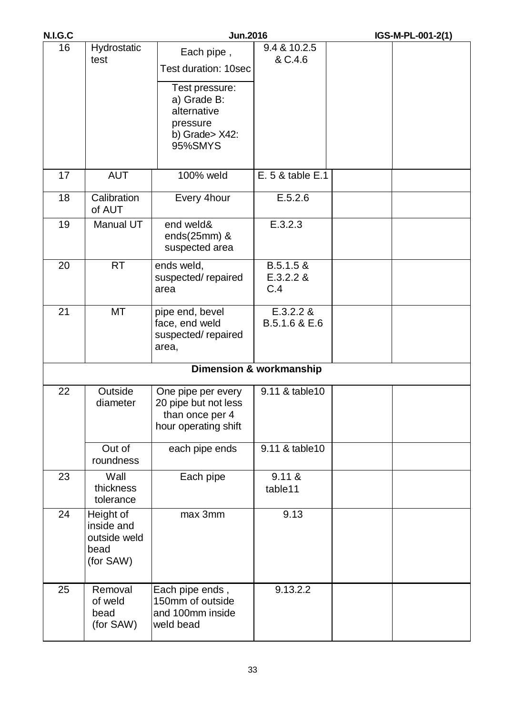| <b>N.I.G.C</b> |                                                              | <b>Jun.2016</b>                                                                                                             |                                    | IGS-M-PL-001-2(1) |
|----------------|--------------------------------------------------------------|-----------------------------------------------------------------------------------------------------------------------------|------------------------------------|-------------------|
| 16             | Hydrostatic<br>test                                          | Each pipe,<br>Test duration: 10sec<br>Test pressure:<br>a) Grade B:<br>alternative<br>pressure<br>b) Grade> X42:<br>95%SMYS | 9.4 & 10.2.5<br>& C.4.6            |                   |
| 17             | <b>AUT</b>                                                   | 100% weld                                                                                                                   | E. 5 & table E.1                   |                   |
| 18             | Calibration<br>of AUT                                        | Every 4hour                                                                                                                 | E.5.2.6                            |                   |
| 19             | Manual UT                                                    | end weld&<br>ends $(25mm)$ &<br>suspected area                                                                              | E.3.2.3                            |                   |
| 20             | <b>RT</b>                                                    | ends weld,<br>suspected/repaired<br>area                                                                                    | $B.5.1.5 \&$<br>E.3.2.2 &<br>C.4   |                   |
| 21             | <b>MT</b>                                                    | pipe end, bevel<br>face, end weld<br>suspected/repaired<br>area,                                                            | E.3.2.2 &<br>B.5.1.6 & E.6         |                   |
|                |                                                              |                                                                                                                             | <b>Dimension &amp; workmanship</b> |                   |
| 22             | Outside<br>diameter                                          | One pipe per every<br>20 pipe but not less<br>than once per 4<br>hour operating shift                                       | 9.11 & table 10                    |                   |
|                | Out of<br>roundness                                          | each pipe ends                                                                                                              | 9.11 & table 10                    |                   |
| 23             | Wall<br>thickness<br>tolerance                               | Each pipe                                                                                                                   | 9.11 &<br>table11                  |                   |
| 24             | Height of<br>inside and<br>outside weld<br>bead<br>(for SAW) | max 3mm                                                                                                                     | 9.13                               |                   |
| 25             | Removal<br>of weld<br>bead<br>(for SAW)                      | Each pipe ends,<br>150mm of outside<br>and 100mm inside<br>weld bead                                                        | 9.13.2.2                           |                   |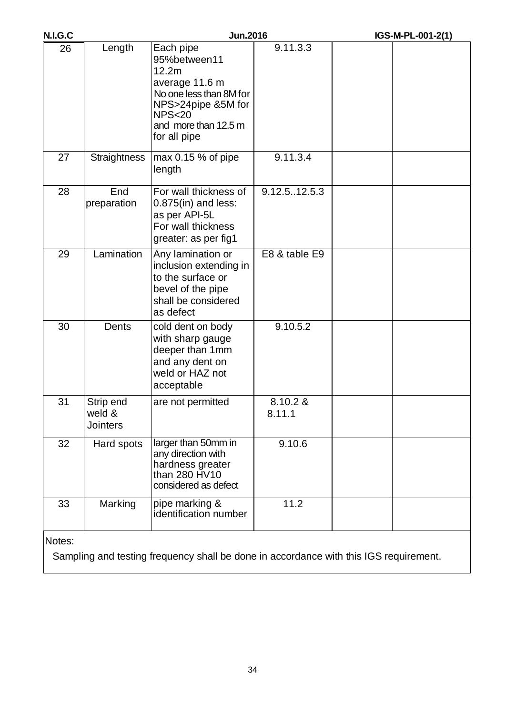| <b>N.I.G.C</b> |                                        | <b>Jun.2016</b>                                                                                                                                                   |                    | IGS-M-PL-001-2(1)                                                                     |
|----------------|----------------------------------------|-------------------------------------------------------------------------------------------------------------------------------------------------------------------|--------------------|---------------------------------------------------------------------------------------|
| 26             | Length                                 | Each pipe<br>95%between11<br>12.2m<br>average 11.6 m<br>No one less than 8M for<br>NPS>24pipe &5M for<br><b>NPS&lt;20</b><br>and more than 12.5 m<br>for all pipe | 9.11.3.3           |                                                                                       |
| 27             | <b>Straightness</b>                    | $max 0.15 %$ of pipe<br>length                                                                                                                                    | 9.11.3.4           |                                                                                       |
| 28             | End<br>preparation                     | For wall thickness of<br>$0.875$ (in) and less:<br>as per API-5L<br>For wall thickness<br>greater: as per fig1                                                    | 9.12.512.5.3       |                                                                                       |
| 29             | Lamination                             | Any lamination or<br>inclusion extending in<br>to the surface or<br>bevel of the pipe<br>shall be considered<br>as defect                                         | E8 & table E9      |                                                                                       |
| 30             | Dents                                  | cold dent on body<br>with sharp gauge<br>deeper than 1mm<br>and any dent on<br>weld or HAZ not<br>acceptable                                                      | 9.10.5.2           |                                                                                       |
| 31             | Strip end<br>weld &<br><b>Jointers</b> | are not permitted                                                                                                                                                 | 8.10.2 &<br>8.11.1 |                                                                                       |
| 32             | Hard spots                             | larger than 50mm in<br>any direction with<br>hardness greater<br>than 280 HV10<br>considered as defect                                                            | 9.10.6             |                                                                                       |
| 33             | Marking                                | pipe marking &<br>identification number                                                                                                                           | 11.2               |                                                                                       |
| Notes:         |                                        |                                                                                                                                                                   |                    |                                                                                       |
|                |                                        |                                                                                                                                                                   |                    | Sampling and testing frequency shall be done in accordance with this IGS requirement. |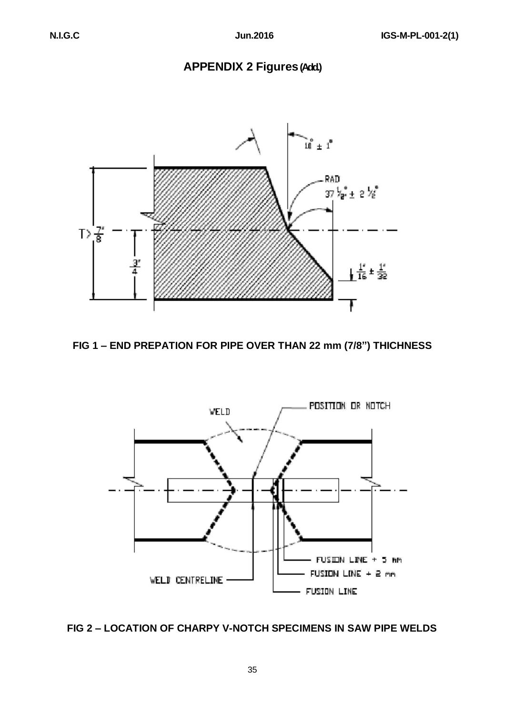# **APPENDIX 2 Figures(Add.)**







#### **FIG 2 – LOCATION OF CHARPY V-NOTCH SPECIMENS IN SAW PIPE WELDS**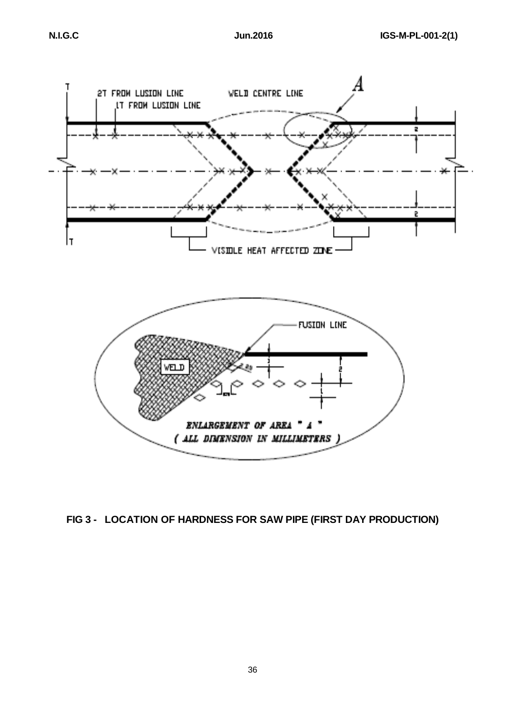

# **FIG 3 - LOCATION OF HARDNESS FOR SAW PIPE (FIRST DAY PRODUCTION)**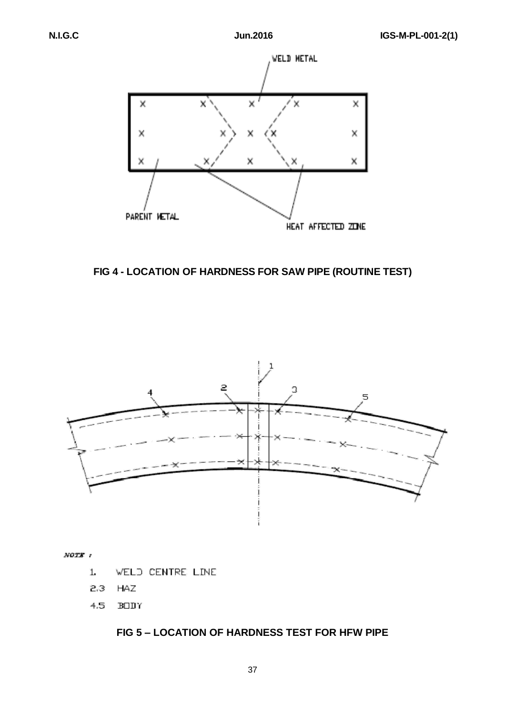

**FIG 4 - LOCATION OF HARDNESS FOR SAW PIPE (ROUTINE TEST)**



NOTE<sub>1</sub>

- **WELD CENTRE LINE** 1.
- 2.3 HAZ
- $4.5$ **BODY**

#### **FIG 5 – LOCATION OF HARDNESS TEST FOR HFW PIPE**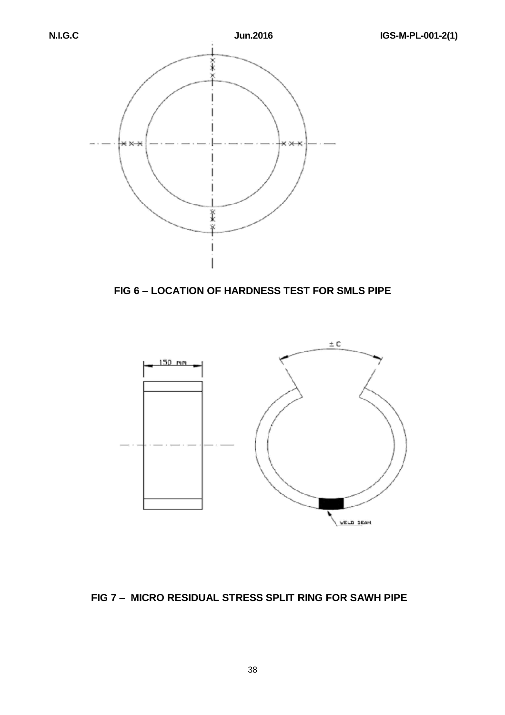

**FIG 6 – LOCATION OF HARDNESS TEST FOR SMLS PIPE** 



#### **FIG 7 – MICRO RESIDUAL STRESS SPLIT RING FOR SAWH PIPE**